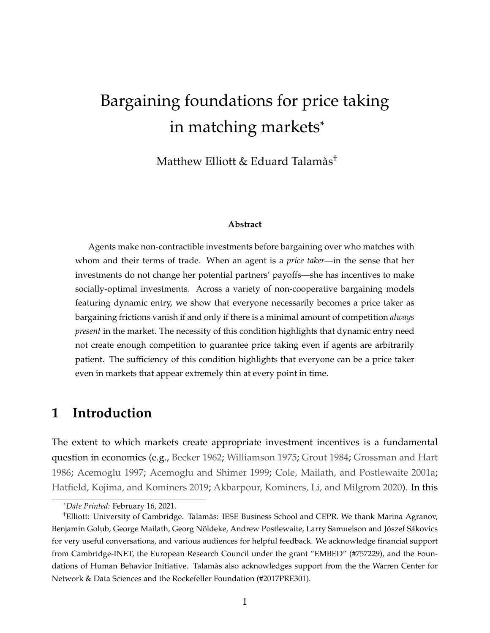# Bargaining foundations for price taking in matching markets\*

Matthew Elliott & Eduard Talamàs†

#### **Abstract**

Agents make non-contractible investments before bargaining over who matches with whom and their terms of trade. When an agent is a *price taker*—in the sense that her investments do not change her potential partners' payoffs—she has incentives to make socially-optimal investments. Across a variety of non-cooperative bargaining models featuring dynamic entry, we show that everyone necessarily becomes a price taker as bargaining frictions vanish if and only if there is a minimal amount of competition *always present* in the market. The necessity of this condition highlights that dynamic entry need not create enough competition to guarantee price taking even if agents are arbitrarily patient. The sufficiency of this condition highlights that everyone can be a price taker even in markets that appear extremely thin at every point in time.

### **1 Introduction**

The extent to which markets create appropriate investment incentives is a fundamental question in economics (e.g., [Becker](#page-30-0) [1962;](#page-30-0) [Williamson](#page-33-0) [1975;](#page-33-0) [Grout](#page-31-0) [1984;](#page-31-0) [Grossman and Hart](#page-31-1) [1986;](#page-31-1) [Acemoglu](#page-30-1) [1997;](#page-30-1) [Acemoglu and Shimer](#page-30-2) [1999;](#page-30-2) [Cole, Mailath, and Postlewaite](#page-30-3) [2001a;](#page-30-3) [Hatfield, Kojima, and Kominers](#page-31-2) [2019;](#page-31-2) [Akbarpour, Kominers, Li, and Milgrom](#page-30-4) [2020\)](#page-30-4). In this

<sup>\*</sup>*Date Printed:* February 16, 2021.

<sup>†</sup>Elliott: University of Cambridge. Talamàs: IESE Business School and CEPR. We thank Marina Agranov, Benjamin Golub, George Mailath, Georg Nöldeke, Andrew Postlewaite, Larry Samuelson and Jószef Sákovics for very useful conversations, and various audiences for helpful feedback. We acknowledge financial support from Cambridge-INET, the European Research Council under the grant "EMBED" (#757229), and the Foundations of Human Behavior Initiative. Talamàs also acknowledges support from the the Warren Center for Network & Data Sciences and the Rockefeller Foundation (#2017PRE301).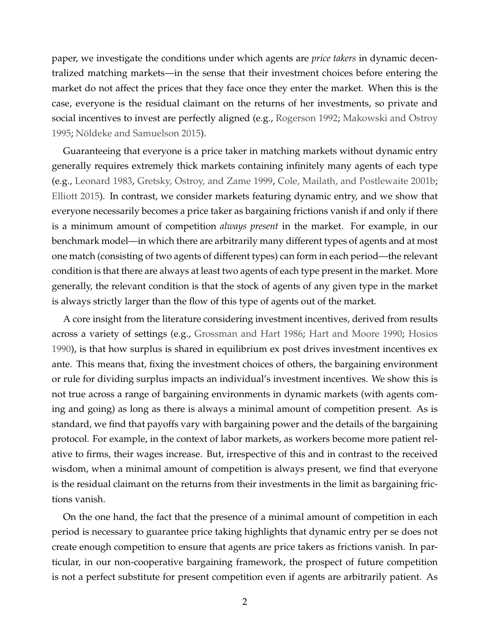paper, we investigate the conditions under which agents are *price takers* in dynamic decentralized matching markets—in the sense that their investment choices before entering the market do not affect the prices that they face once they enter the market. When this is the case, everyone is the residual claimant on the returns of her investments, so private and social incentives to invest are perfectly aligned (e.g., [Rogerson](#page-32-0) [1992;](#page-32-0) [Makowski and Ostroy](#page-32-1) [1995;](#page-32-1) [Nöldeke and Samuelson](#page-32-2) [2015\)](#page-32-2).

Guaranteeing that everyone is a price taker in matching markets without dynamic entry generally requires extremely thick markets containing infinitely many agents of each type (e.g., [Leonard](#page-32-3) [1983,](#page-32-3) [Gretsky, Ostroy, and Zame](#page-31-3) [1999,](#page-31-3) [Cole, Mailath, and Postlewaite](#page-30-5) [2001b;](#page-30-5) [Elliott](#page-31-4) [2015\)](#page-31-4). In contrast, we consider markets featuring dynamic entry, and we show that everyone necessarily becomes a price taker as bargaining frictions vanish if and only if there is a minimum amount of competition *always present* in the market. For example, in our benchmark model—in which there are arbitrarily many different types of agents and at most one match (consisting of two agents of different types) can form in each period—the relevant condition is that there are always at least two agents of each type present in the market. More generally, the relevant condition is that the stock of agents of any given type in the market is always strictly larger than the flow of this type of agents out of the market.

A core insight from the literature considering investment incentives, derived from results across a variety of settings (e.g., [Grossman and Hart](#page-31-1) [1986;](#page-31-1) [Hart and Moore](#page-31-5) [1990;](#page-31-5) [Hosios](#page-31-6) [1990\)](#page-31-6), is that how surplus is shared in equilibrium ex post drives investment incentives ex ante. This means that, fixing the investment choices of others, the bargaining environment or rule for dividing surplus impacts an individual's investment incentives. We show this is not true across a range of bargaining environments in dynamic markets (with agents coming and going) as long as there is always a minimal amount of competition present. As is standard, we find that payoffs vary with bargaining power and the details of the bargaining protocol. For example, in the context of labor markets, as workers become more patient relative to firms, their wages increase. But, irrespective of this and in contrast to the received wisdom, when a minimal amount of competition is always present, we find that everyone is the residual claimant on the returns from their investments in the limit as bargaining frictions vanish.

On the one hand, the fact that the presence of a minimal amount of competition in each period is necessary to guarantee price taking highlights that dynamic entry per se does not create enough competition to ensure that agents are price takers as frictions vanish. In particular, in our non-cooperative bargaining framework, the prospect of future competition is not a perfect substitute for present competition even if agents are arbitrarily patient. As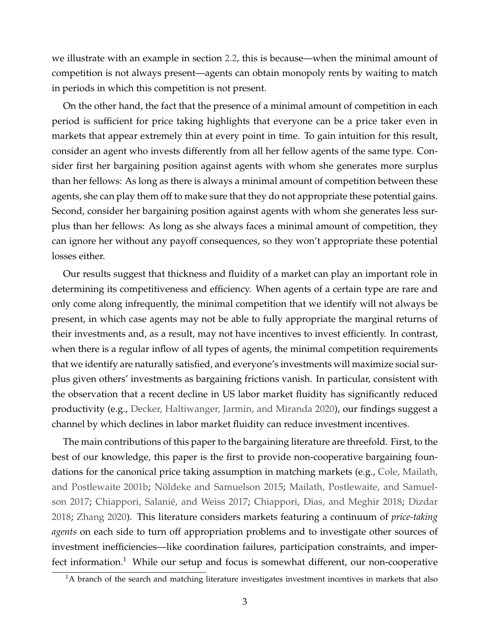we illustrate with an example in section [2.2,](#page-5-0) this is because—when the minimal amount of competition is not always present—agents can obtain monopoly rents by waiting to match in periods in which this competition is not present.

On the other hand, the fact that the presence of a minimal amount of competition in each period is sufficient for price taking highlights that everyone can be a price taker even in markets that appear extremely thin at every point in time. To gain intuition for this result, consider an agent who invests differently from all her fellow agents of the same type. Consider first her bargaining position against agents with whom she generates more surplus than her fellows: As long as there is always a minimal amount of competition between these agents, she can play them off to make sure that they do not appropriate these potential gains. Second, consider her bargaining position against agents with whom she generates less surplus than her fellows: As long as she always faces a minimal amount of competition, they can ignore her without any payoff consequences, so they won't appropriate these potential losses either.

Our results suggest that thickness and fluidity of a market can play an important role in determining its competitiveness and efficiency. When agents of a certain type are rare and only come along infrequently, the minimal competition that we identify will not always be present, in which case agents may not be able to fully appropriate the marginal returns of their investments and, as a result, may not have incentives to invest efficiently. In contrast, when there is a regular inflow of all types of agents, the minimal competition requirements that we identify are naturally satisfied, and everyone's investments will maximize social surplus given others' investments as bargaining frictions vanish. In particular, consistent with the observation that a recent decline in US labor market fluidity has significantly reduced productivity (e.g., [Decker, Haltiwanger, Jarmin, and Miranda](#page-31-7) [2020\)](#page-31-7), our findings suggest a channel by which declines in labor market fluidity can reduce investment incentives.

The main contributions of this paper to the bargaining literature are threefold. First, to the best of our knowledge, this paper is the first to provide non-cooperative bargaining foundations for the canonical price taking assumption in matching markets (e.g., [Cole, Mailath,](#page-30-5) [and Postlewaite](#page-30-5) [2001b;](#page-30-5) [Nöldeke and Samuelson](#page-32-2) [2015;](#page-32-2) [Mailath, Postlewaite, and Samuel](#page-32-4)[son](#page-32-4) [2017;](#page-32-4) [Chiappori, Salanié, and Weiss](#page-30-6) [2017;](#page-30-6) [Chiappori, Dias, and Meghir](#page-30-7) [2018;](#page-30-7) [Dizdar](#page-31-8) [2018;](#page-31-8) [Zhang](#page-33-1) [2020\)](#page-33-1). This literature considers markets featuring a continuum of *price-taking agents* on each side to turn off appropriation problems and to investigate other sources of investment inefficiencies—like coordination failures, participation constraints, and imperfect information.<sup>1</sup> While our setup and focus is somewhat different, our non-cooperative

<sup>&</sup>lt;sup>1</sup>A branch of the search and matching literature investigates investment incentives in markets that also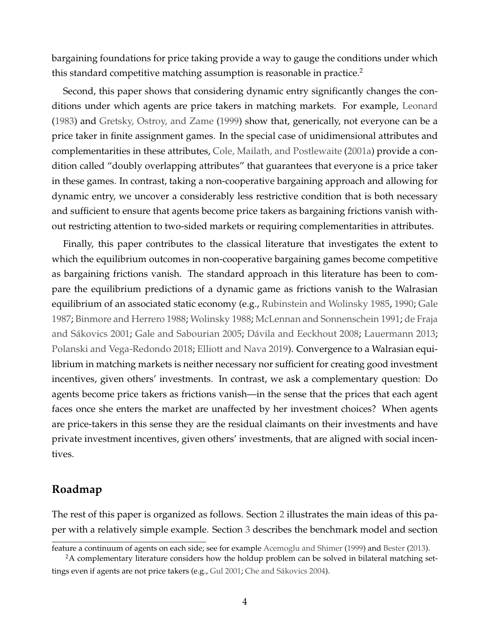bargaining foundations for price taking provide a way to gauge the conditions under which this standard competitive matching assumption is reasonable in practice.<sup>2</sup>

Second, this paper shows that considering dynamic entry significantly changes the conditions under which agents are price takers in matching markets. For example, [Leonard](#page-32-3) [\(1983\)](#page-32-3) and [Gretsky, Ostroy, and Zame](#page-31-3) [\(1999\)](#page-31-3) show that, generically, not everyone can be a price taker in finite assignment games. In the special case of unidimensional attributes and complementarities in these attributes, [Cole, Mailath, and Postlewaite](#page-30-3) [\(2001a\)](#page-30-3) provide a condition called "doubly overlapping attributes" that guarantees that everyone is a price taker in these games. In contrast, taking a non-cooperative bargaining approach and allowing for dynamic entry, we uncover a considerably less restrictive condition that is both necessary and sufficient to ensure that agents become price takers as bargaining frictions vanish without restricting attention to two-sided markets or requiring complementarities in attributes.

Finally, this paper contributes to the classical literature that investigates the extent to which the equilibrium outcomes in non-cooperative bargaining games become competitive as bargaining frictions vanish. The standard approach in this literature has been to compare the equilibrium predictions of a dynamic game as frictions vanish to the Walrasian equilibrium of an associated static economy (e.g., [Rubinstein and Wolinsky](#page-32-5) [1985,](#page-32-5) [1990;](#page-32-6) [Gale](#page-31-9) [1987;](#page-31-9) [Binmore and Herrero](#page-30-8) [1988;](#page-30-8) [Wolinsky](#page-33-2) [1988;](#page-33-2) [McLennan and Sonnenschein](#page-32-7) [1991;](#page-32-7) [de Fraja](#page-30-9) [and Sákovics](#page-30-9) [2001;](#page-30-9) [Gale and Sabourian](#page-31-10) [2005;](#page-31-10) [Dávila and Eeckhout](#page-30-10) [2008;](#page-30-10) [Lauermann](#page-32-8) [2013;](#page-32-8) [Polanski and Vega-Redondo](#page-32-9) [2018;](#page-32-9) [Elliott and Nava](#page-31-11) [2019\)](#page-31-11). Convergence to a Walrasian equilibrium in matching markets is neither necessary nor sufficient for creating good investment incentives, given others' investments. In contrast, we ask a complementary question: Do agents become price takers as frictions vanish—in the sense that the prices that each agent faces once she enters the market are unaffected by her investment choices? When agents are price-takers in this sense they are the residual claimants on their investments and have private investment incentives, given others' investments, that are aligned with social incentives.

#### **Roadmap**

The rest of this paper is organized as follows. Section [2](#page-4-0) illustrates the main ideas of this paper with a relatively simple example. Section [3](#page-8-0) describes the benchmark model and section

feature a continuum of agents on each side; see for example [Acemoglu and Shimer](#page-30-2) [\(1999\)](#page-30-2) and [Bester](#page-30-11) [\(2013\)](#page-30-11).

<sup>&</sup>lt;sup>2</sup>A complementary literature considers how the holdup problem can be solved in bilateral matching settings even if agents are not price takers (e.g., [Gul](#page-31-12) [2001;](#page-31-12) [Che and Sákovics](#page-30-12) [2004\)](#page-30-12).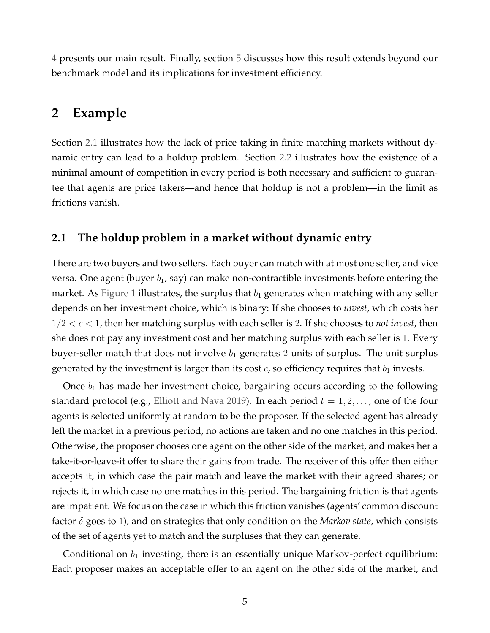[4](#page-12-0) presents our main result. Finally, section [5](#page-15-0) discusses how this result extends beyond our benchmark model and its implications for investment efficiency.

#### <span id="page-4-0"></span>**2 Example**

Section [2.1](#page-4-1) illustrates how the lack of price taking in finite matching markets without dynamic entry can lead to a holdup problem. Section [2.2](#page-5-0) illustrates how the existence of a minimal amount of competition in every period is both necessary and sufficient to guarantee that agents are price takers—and hence that holdup is not a problem—in the limit as frictions vanish.

#### <span id="page-4-1"></span>**2.1 The holdup problem in a market without dynamic entry**

There are two buyers and two sellers. Each buyer can match with at most one seller, and vice versa. One agent (buyer  $b_1$ , say) can make non-contractible investments before entering the market. As [Figure 1](#page-5-1) illustrates, the surplus that  $b_1$  generates when matching with any seller depends on her investment choice, which is binary: If she chooses to *invest*, which costs her 1/2 < c < 1, then her matching surplus with each seller is 2. If she chooses to *not invest*, then she does not pay any investment cost and her matching surplus with each seller is 1. Every buyer-seller match that does not involve  $b_1$  generates 2 units of surplus. The unit surplus generated by the investment is larger than its cost  $c$ , so efficiency requires that  $b_1$  invests.

Once  $b_1$  has made her investment choice, bargaining occurs according to the following standard protocol (e.g., [Elliott and Nava](#page-31-11) [2019\)](#page-31-11). In each period  $t = 1, 2, \ldots$ , one of the four agents is selected uniformly at random to be the proposer. If the selected agent has already left the market in a previous period, no actions are taken and no one matches in this period. Otherwise, the proposer chooses one agent on the other side of the market, and makes her a take-it-or-leave-it offer to share their gains from trade. The receiver of this offer then either accepts it, in which case the pair match and leave the market with their agreed shares; or rejects it, in which case no one matches in this period. The bargaining friction is that agents are impatient. We focus on the case in which this friction vanishes (agents' common discount factor δ goes to 1), and on strategies that only condition on the *Markov state*, which consists of the set of agents yet to match and the surpluses that they can generate.

Conditional on  $b_1$  investing, there is an essentially unique Markov-perfect equilibrium: Each proposer makes an acceptable offer to an agent on the other side of the market, and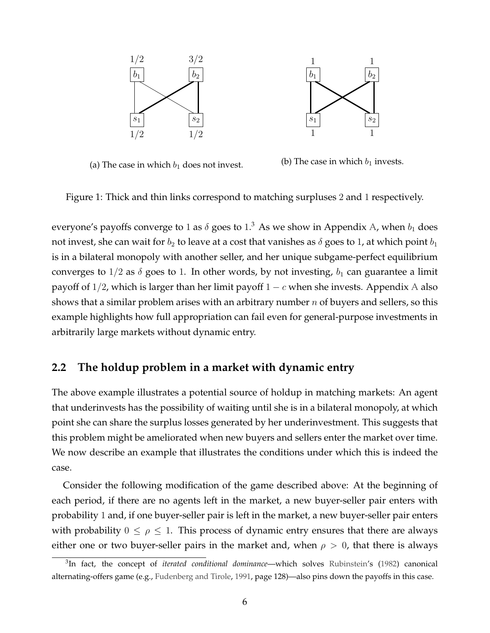<span id="page-5-1"></span>



(a) The case in which  $b_1$  does not invest. (b) The case in which  $b_1$  invests.

Figure 1: Thick and thin links correspond to matching surpluses 2 and 1 respectively.

everyone's payoffs converge to 1 as  $\delta$  goes to  $1.^3$  As we show in Appendix [A,](#page-20-0) when  $b_1$  does not invest, she can wait for  $b_2$  to leave at a cost that vanishes as  $\delta$  goes to 1, at which point  $b_1$ is in a bilateral monopoly with another seller, and her unique subgame-perfect equilibrium converges to  $1/2$  as  $\delta$  goes to 1. In other words, by not investing,  $b_1$  can guarantee a limit payoff of  $1/2$ , which is larger than her limit payoff  $1 - c$  when she invests. [A](#page-20-0)ppendix A also shows that a similar problem arises with an arbitrary number  $n$  of buyers and sellers, so this example highlights how full appropriation can fail even for general-purpose investments in arbitrarily large markets without dynamic entry.

#### <span id="page-5-0"></span>**2.2 The holdup problem in a market with dynamic entry**

The above example illustrates a potential source of holdup in matching markets: An agent that underinvests has the possibility of waiting until she is in a bilateral monopoly, at which point she can share the surplus losses generated by her underinvestment. This suggests that this problem might be ameliorated when new buyers and sellers enter the market over time. We now describe an example that illustrates the conditions under which this is indeed the case.

Consider the following modification of the game described above: At the beginning of each period, if there are no agents left in the market, a new buyer-seller pair enters with probability 1 and, if one buyer-seller pair is left in the market, a new buyer-seller pair enters with probability  $0 \leq \rho \leq 1$ . This process of dynamic entry ensures that there are always either one or two buyer-seller pairs in the market and, when  $\rho > 0$ , that there is always

<sup>3</sup> In fact, the concept of *iterated conditional dominance*—which solves [Rubinstein'](#page-32-10)s [\(1982\)](#page-32-10) canonical alternating-offers game (e.g., [Fudenberg and Tirole,](#page-31-13) [1991,](#page-31-13) page 128)—also pins down the payoffs in this case.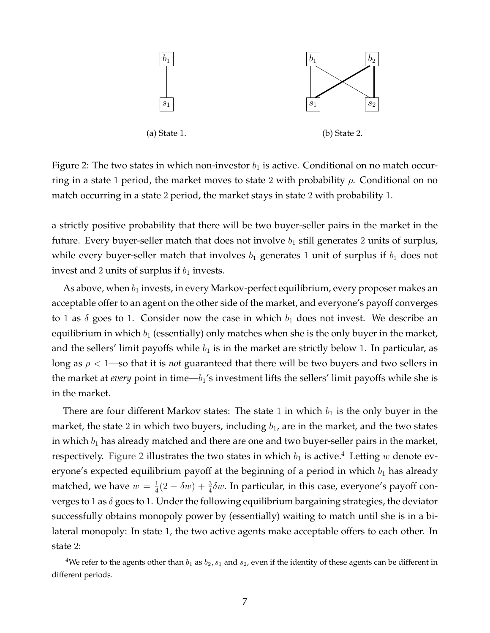<span id="page-6-0"></span>

Figure 2: The two states in which non-investor  $b_1$  is active. Conditional on no match occurring in a state 1 period, the market moves to state 2 with probability  $\rho$ . Conditional on no match occurring in a state 2 period, the market stays in state 2 with probability 1.

a strictly positive probability that there will be two buyer-seller pairs in the market in the future. Every buyer-seller match that does not involve  $b_1$  still generates 2 units of surplus, while every buyer-seller match that involves  $b_1$  generates 1 unit of surplus if  $b_1$  does not invest and 2 units of surplus if  $b_1$  invests.

As above, when  $b_1$  invests, in every Markov-perfect equilibrium, every proposer makes an acceptable offer to an agent on the other side of the market, and everyone's payoff converges to 1 as  $\delta$  goes to 1. Consider now the case in which  $b_1$  does not invest. We describe an equilibrium in which  $b_1$  (essentially) only matches when she is the only buyer in the market, and the sellers' limit payoffs while  $b_1$  is in the market are strictly below 1. In particular, as long as  $\rho < 1$ —so that it is *not* guaranteed that there will be two buyers and two sellers in the market at *every* point in time— $b_1$ 's investment lifts the sellers' limit payoffs while she is in the market.

There are four different Markov states: The state 1 in which  $b_1$  is the only buyer in the market, the state 2 in which two buyers, including  $b_1$ , are in the market, and the two states in which  $b_1$  has already matched and there are one and two buyer-seller pairs in the market, respectively. [Figure 2](#page-6-0) illustrates the two states in which  $b_1$  is active.<sup>4</sup> Letting w denote everyone's expected equilibrium payoff at the beginning of a period in which  $b_1$  has already matched, we have  $w = \frac{1}{4}$  $\frac{1}{4}(2 - \delta w) + \frac{3}{4}\delta w$ . In particular, in this case, everyone's payoff converges to 1 as  $\delta$  goes to 1. Under the following equilibrium bargaining strategies, the deviator successfully obtains monopoly power by (essentially) waiting to match until she is in a bilateral monopoly: In state 1, the two active agents make acceptable offers to each other. In state 2:

<sup>&</sup>lt;sup>4</sup>We refer to the agents other than  $b_1$  as  $b_2$ ,  $s_1$  and  $s_2$ , even if the identity of these agents can be different in different periods.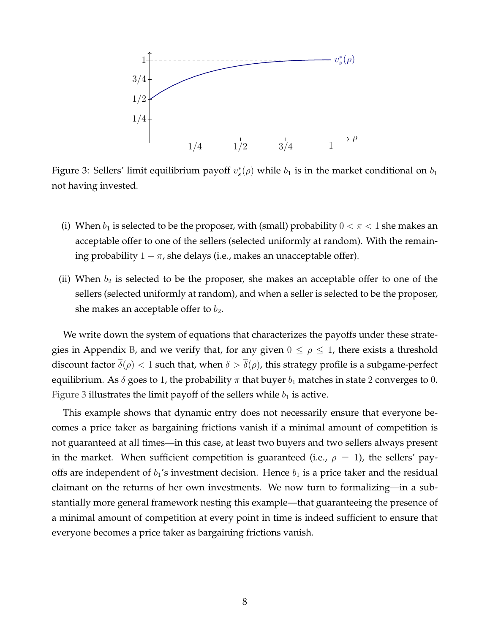<span id="page-7-0"></span>

Figure 3: Sellers' limit equilibrium payoff  $v_s^*(\rho)$  while  $b_1$  is in the market conditional on  $b_1$ not having invested.

- (i) When  $b_1$  is selected to be the proposer, with (small) probability  $0 < \pi < 1$  she makes an acceptable offer to one of the sellers (selected uniformly at random). With the remaining probability  $1 - \pi$ , she delays (i.e., makes an unacceptable offer).
- (ii) When  $b_2$  is selected to be the proposer, she makes an acceptable offer to one of the sellers (selected uniformly at random), and when a seller is selected to be the proposer, she makes an acceptable offer to  $b_2$ .

We write down the system of equations that characterizes the payoffs under these strate-gies in Appendix [B,](#page-24-0) and we verify that, for any given  $0 \le \rho \le 1$ , there exists a threshold discount factor  $\bar{\delta}(\rho) < 1$  such that, when  $\delta > \bar{\delta}(\rho)$ , this strategy profile is a subgame-perfect equilibrium. As  $\delta$  goes to 1, the probability  $\pi$  that buyer  $b_1$  matches in state 2 converges to 0. [Figure 3](#page-7-0) illustrates the limit payoff of the sellers while  $b_1$  is active.

This example shows that dynamic entry does not necessarily ensure that everyone becomes a price taker as bargaining frictions vanish if a minimal amount of competition is not guaranteed at all times—in this case, at least two buyers and two sellers always present in the market. When sufficient competition is guaranteed (i.e.,  $\rho = 1$ ), the sellers' payoffs are independent of  $b_1$ 's investment decision. Hence  $b_1$  is a price taker and the residual claimant on the returns of her own investments. We now turn to formalizing—in a substantially more general framework nesting this example—that guaranteeing the presence of a minimal amount of competition at every point in time is indeed sufficient to ensure that everyone becomes a price taker as bargaining frictions vanish.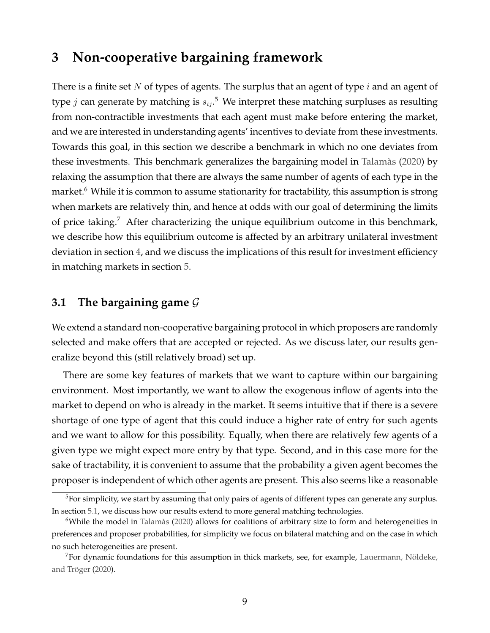### <span id="page-8-0"></span>**3 Non-cooperative bargaining framework**

There is a finite set N of types of agents. The surplus that an agent of type  $i$  and an agent of type  $j$  can generate by matching is  $s_{ij}.^5$  We interpret these matching surpluses as resulting from non-contractible investments that each agent must make before entering the market, and we are interested in understanding agents' incentives to deviate from these investments. Towards this goal, in this section we describe a benchmark in which no one deviates from these investments. This benchmark generalizes the bargaining model in [Talamàs](#page-33-3) [\(2020\)](#page-33-3) by relaxing the assumption that there are always the same number of agents of each type in the market.<sup>6</sup> While it is common to assume stationarity for tractability, this assumption is strong when markets are relatively thin, and hence at odds with our goal of determining the limits of price taking.<sup>7</sup> After characterizing the unique equilibrium outcome in this benchmark, we describe how this equilibrium outcome is affected by an arbitrary unilateral investment deviation in section [4,](#page-12-0) and we discuss the implications of this result for investment efficiency in matching markets in section [5.](#page-15-0)

#### **3.1 The bargaining game** G

We extend a standard non-cooperative bargaining protocol in which proposers are randomly selected and make offers that are accepted or rejected. As we discuss later, our results generalize beyond this (still relatively broad) set up.

There are some key features of markets that we want to capture within our bargaining environment. Most importantly, we want to allow the exogenous inflow of agents into the market to depend on who is already in the market. It seems intuitive that if there is a severe shortage of one type of agent that this could induce a higher rate of entry for such agents and we want to allow for this possibility. Equally, when there are relatively few agents of a given type we might expect more entry by that type. Second, and in this case more for the sake of tractability, it is convenient to assume that the probability a given agent becomes the proposer is independent of which other agents are present. This also seems like a reasonable

<sup>&</sup>lt;sup>5</sup>For simplicity, we start by assuming that only pairs of agents of different types can generate any surplus. In section [5.1,](#page-15-1) we discuss how our results extend to more general matching technologies.

 $6$ While the model in [Talamàs](#page-33-3) [\(2020\)](#page-33-3) allows for coalitions of arbitrary size to form and heterogeneities in preferences and proposer probabilities, for simplicity we focus on bilateral matching and on the case in which no such heterogeneities are present.

 $7$ For dynamic foundations for this assumption in thick markets, see, for example, [Lauermann, Nöldeke,](#page-32-11) [and Tröger](#page-32-11) [\(2020\)](#page-32-11).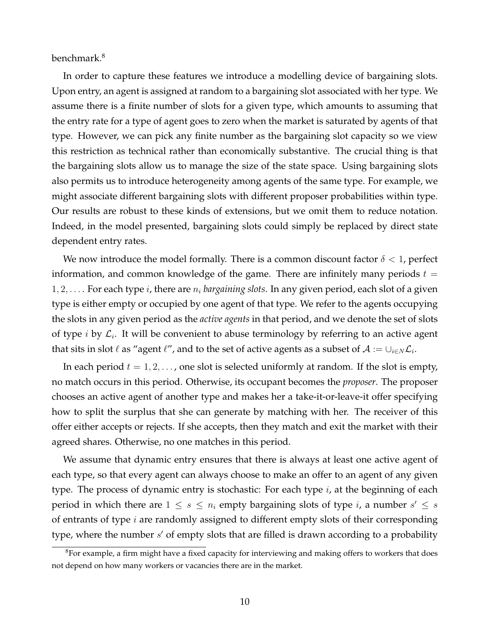benchmark.<sup>8</sup>

In order to capture these features we introduce a modelling device of bargaining slots. Upon entry, an agent is assigned at random to a bargaining slot associated with her type. We assume there is a finite number of slots for a given type, which amounts to assuming that the entry rate for a type of agent goes to zero when the market is saturated by agents of that type. However, we can pick any finite number as the bargaining slot capacity so we view this restriction as technical rather than economically substantive. The crucial thing is that the bargaining slots allow us to manage the size of the state space. Using bargaining slots also permits us to introduce heterogeneity among agents of the same type. For example, we might associate different bargaining slots with different proposer probabilities within type. Our results are robust to these kinds of extensions, but we omit them to reduce notation. Indeed, in the model presented, bargaining slots could simply be replaced by direct state dependent entry rates.

We now introduce the model formally. There is a common discount factor  $\delta < 1$ , perfect information, and common knowledge of the game. There are infinitely many periods  $t =$  $1, 2, \ldots$  For each type *i*, there are  $n_i$  *bargaining slots*. In any given period, each slot of a given type is either empty or occupied by one agent of that type. We refer to the agents occupying the slots in any given period as the *active agents* in that period, and we denote the set of slots of type *i* by  $\mathcal{L}_i$ . It will be convenient to abuse terminology by referring to an active agent that sits in slot  $\ell$  as "agent  $\ell''$ , and to the set of active agents as a subset of  $\mathcal{A} := \cup_{i\in N} \mathcal{L}_i.$ 

In each period  $t = 1, 2, \dots$ , one slot is selected uniformly at random. If the slot is empty, no match occurs in this period. Otherwise, its occupant becomes the *proposer*. The proposer chooses an active agent of another type and makes her a take-it-or-leave-it offer specifying how to split the surplus that she can generate by matching with her. The receiver of this offer either accepts or rejects. If she accepts, then they match and exit the market with their agreed shares. Otherwise, no one matches in this period.

We assume that dynamic entry ensures that there is always at least one active agent of each type, so that every agent can always choose to make an offer to an agent of any given type. The process of dynamic entry is stochastic: For each type  $i$ , at the beginning of each period in which there are  $1 \leq s \leq n_i$  empty bargaining slots of type i, a number  $s' \leq s$ of entrants of type  $i$  are randomly assigned to different empty slots of their corresponding type, where the number  $s'$  of empty slots that are filled is drawn according to a probability

 ${}^{8}$ For example, a firm might have a fixed capacity for interviewing and making offers to workers that does not depend on how many workers or vacancies there are in the market.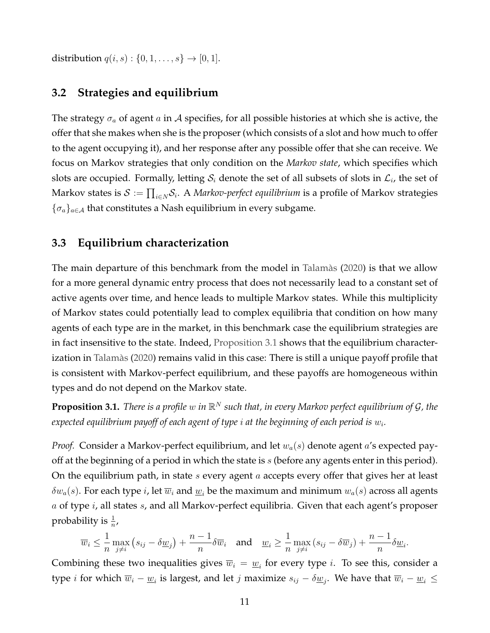distribution  $q(i, s) : \{0, 1, ..., s\} \to [0, 1].$ 

#### **3.2 Strategies and equilibrium**

The strategy  $\sigma_a$  of agent a in A specifies, for all possible histories at which she is active, the offer that she makes when she is the proposer (which consists of a slot and how much to offer to the agent occupying it), and her response after any possible offer that she can receive. We focus on Markov strategies that only condition on the *Markov state*, which specifies which slots are occupied. Formally, letting  $\mathcal{S}_i$  denote the set of all subsets of slots in  $\mathcal{L}_i$ , the set of Markov states is  $\mathcal{S}:=\prod_{i\in N}\mathcal{S}_i.$  A *Markov-perfect equilibrium* is a profile of Markov strategies  ${\{\sigma_a\}_{a \in \mathcal{A}}}$  that constitutes a Nash equilibrium in every subgame.

#### **3.3 Equilibrium characterization**

The main departure of this benchmark from the model in [Talamàs](#page-33-3) [\(2020\)](#page-33-3) is that we allow for a more general dynamic entry process that does not necessarily lead to a constant set of active agents over time, and hence leads to multiple Markov states. While this multiplicity of Markov states could potentially lead to complex equilibria that condition on how many agents of each type are in the market, in this benchmark case the equilibrium strategies are in fact insensitive to the state. Indeed, [Proposition 3.1](#page-10-0) shows that the equilibrium characterization in [Talamàs](#page-33-3) [\(2020\)](#page-33-3) remains valid in this case: There is still a unique payoff profile that is consistent with Markov-perfect equilibrium, and these payoffs are homogeneous within types and do not depend on the Markov state.

<span id="page-10-0"></span>**Proposition 3.1.** *There is a profile* w *in* R <sup>N</sup> *such that, in every Markov perfect equilibrium of* G*, the* expected equilibrium payoff of each agent of type  $i$  at the beginning of each period is  $w_i.$ 

*Proof.* Consider a Markov-perfect equilibrium, and let  $w_a(s)$  denote agent a's expected payoff at the beginning of a period in which the state is  $s$  (before any agents enter in this period). On the equilibrium path, in state s every agent a accepts every offer that gives her at least  $\delta w_a(s)$ . For each type i, let  $\overline{w}_i$  and  $\underline{w}_i$  be the maximum and minimum  $w_a(s)$  across all agents  $a$  of type  $i$ , all states  $s$ , and all Markov-perfect equilibria. Given that each agent's proposer probability is  $\frac{1}{n}$ ,

$$
\overline{w}_i \leq \frac{1}{n} \max_{j \neq i} \left( s_{ij} - \delta \underline{w}_j \right) + \frac{n-1}{n} \delta \overline{w}_i \quad \text{and} \quad \underline{w}_i \geq \frac{1}{n} \max_{j \neq i} \left( s_{ij} - \delta \overline{w}_j \right) + \frac{n-1}{n} \delta \underline{w}_i.
$$

Combining these two inequalities gives  $\overline{w}_i = \underline{w}_i$  for every type *i*. To see this, consider a type *i* for which  $\overline{w}_i - \underline{w}_i$  is largest, and let *j* maximize  $s_{ij} - \delta \underline{w}_j$ . We have that  $\overline{w}_i - \underline{w}_i \le$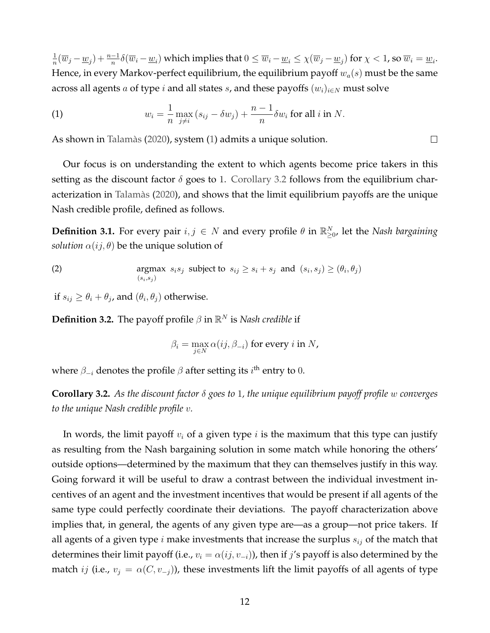1  $\frac{1}{n}(\overline{w}_j-\underline{w}_j)+\frac{n-1}{n}\delta(\overline{w}_i-\underline{w}_i)$  which implies that  $0\leq \overline{w}_i-\underline{w}_i\leq \chi(\overline{w}_j-\underline{w}_j)$  for  $\chi < 1$ , so  $\overline{w}_i=\underline{w}_i$ . Hence, in every Markov-perfect equilibrium, the equilibrium payoff  $w_a(s)$  must be the same across all agents a of type i and all states s, and these payoffs  $(w_i)_{i\in N}$  must solve

<span id="page-11-0"></span>(1) 
$$
w_i = \frac{1}{n} \max_{j \neq i} (s_{ij} - \delta w_j) + \frac{n-1}{n} \delta w_i \text{ for all } i \text{ in } N.
$$

As shown in [Talamàs](#page-33-3) [\(2020\)](#page-33-3), system [\(1\)](#page-11-0) admits a unique solution.

Our focus is on understanding the extent to which agents become price takers in this setting as the discount factor  $\delta$  goes to 1. [Corollary 3.2](#page-11-1) follows from the equilibrium characterization in [Talamàs](#page-33-3) [\(2020\)](#page-33-3), and shows that the limit equilibrium payoffs are the unique Nash credible profile, defined as follows.

 $\Box$ 

**Definition 3.1.** For every pair  $i, j \in N$  and every profile  $\theta$  in  $\mathbb{R}^N_{\geq 0}$ , let the *Nash bargaining solution*  $\alpha(ij, \theta)$  be the unique solution of

(2) 
$$
\operatorname*{argmax}_{(s_i, s_j)} s_i s_j \text{ subject to } s_{ij} \geq s_i + s_j \text{ and } (s_i, s_j) \geq (\theta_i, \theta_j)
$$

if  $s_{ij} \geq \theta_i + \theta_j$ , and  $(\theta_i, \theta_j)$  otherwise.

**Definition 3.2.** The payoff profile  $\beta$  in  $\mathbb{R}^N$  is *Nash credible* if

$$
\beta_i = \max_{j \in N} \alpha(ij, \beta_{-i})
$$
 for every  $i$  in  $N$ ,

where  $\beta_{-i}$  denotes the profile  $\beta$  after setting its  $i^{\text{th}}$  entry to  $0.$ 

<span id="page-11-1"></span>**Corollary 3.2.** *As the discount factor* δ *goes to* 1*, the unique equilibrium payoff profile* w *converges to the unique Nash credible profile* v*.*

In words, the limit payoff  $v_i$  of a given type  $i$  is the maximum that this type can justify as resulting from the Nash bargaining solution in some match while honoring the others' outside options—determined by the maximum that they can themselves justify in this way. Going forward it will be useful to draw a contrast between the individual investment incentives of an agent and the investment incentives that would be present if all agents of the same type could perfectly coordinate their deviations. The payoff characterization above implies that, in general, the agents of any given type are—as a group—not price takers. If all agents of a given type  $i$  make investments that increase the surplus  $s_{ij}$  of the match that determines their limit payoff (i.e.,  $v_i = \alpha(ij, v_{-i})$ ), then if j's payoff is also determined by the match *ij* (i.e.,  $v_j = \alpha(C, v_{-j})$ ), these investments lift the limit payoffs of all agents of type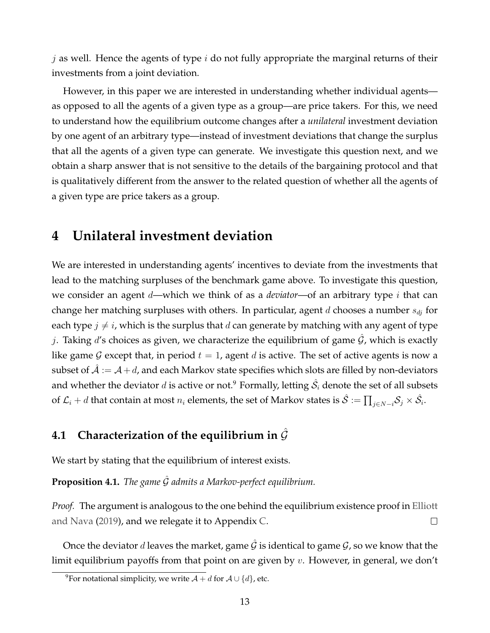j as well. Hence the agents of type  $i$  do not fully appropriate the marginal returns of their investments from a joint deviation.

However, in this paper we are interested in understanding whether individual agents as opposed to all the agents of a given type as a group—are price takers. For this, we need to understand how the equilibrium outcome changes after a *unilateral* investment deviation by one agent of an arbitrary type—instead of investment deviations that change the surplus that all the agents of a given type can generate. We investigate this question next, and we obtain a sharp answer that is not sensitive to the details of the bargaining protocol and that is qualitatively different from the answer to the related question of whether all the agents of a given type are price takers as a group.

### <span id="page-12-0"></span>**4 Unilateral investment deviation**

We are interested in understanding agents' incentives to deviate from the investments that lead to the matching surpluses of the benchmark game above. To investigate this question, we consider an agent d—which we think of as a *deviator*—of an arbitrary type i that can change her matching surpluses with others. In particular, agent d chooses a number  $s_{dj}$  for each type  $j \neq i$ , which is the surplus that d can generate by matching with any agent of type j. Taking d's choices as given, we characterize the equilibrium of game  $\mathcal G$ , which is exactly like game G except that, in period  $t = 1$ , agent d is active. The set of active agents is now a subset of  $\mathcal{A} := \mathcal{A} + d$ , and each Markov state specifies which slots are filled by non-deviators and whether the deviator  $d$  is active or not. $^9$  Formally, letting  $\hat{\mathcal{S}_i}$  denote the set of all subsets of  $\mathcal{L}_i+d$  that contain at most  $n_i$  elements, the set of Markov states is  $\hat{\mathcal{S}}:=\prod_{j\in N-i}\mathcal{S}_j\times\hat{\mathcal{S}}_i.$ 

### **4.1 Characterization of the equilibrium in**  $\hat{G}$

We start by stating that the equilibrium of interest exists.

**Proposition 4.1.** *The game* Gˆ *admits a Markov-perfect equilibrium.*

*Proof.* The argument is analogous to the one behind the equilibrium existence proof in [Elliott](#page-31-11) [and Nava](#page-31-11) [\(2019\)](#page-31-11), and we relegate it to Appendix [C.](#page-26-0)  $\Box$ 

Once the deviator d leaves the market, game  $\hat{G}$  is identical to game  $\hat{G}$ , so we know that the limit equilibrium payoffs from that point on are given by  $v$ . However, in general, we don't

<sup>&</sup>lt;sup>9</sup>For notational simplicity, we write  $A + d$  for  $A \cup \{d\}$ , etc.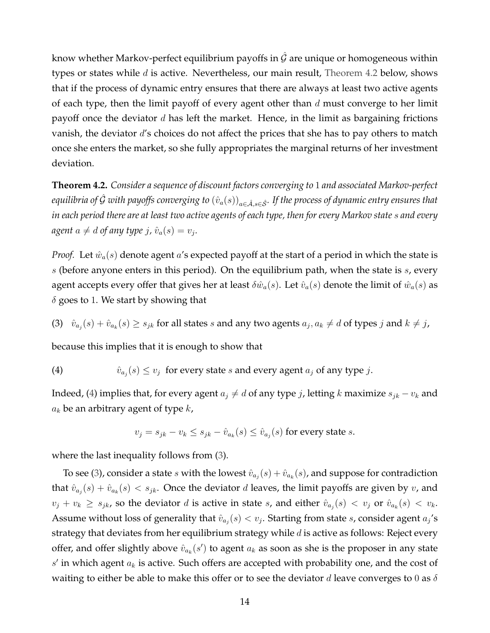know whether Markov-perfect equilibrium payoffs in  $\hat{G}$  are unique or homogeneous within types or states while  $d$  is active. Nevertheless, our main result, [Theorem 4.2](#page-13-0) below, shows that if the process of dynamic entry ensures that there are always at least two active agents of each type, then the limit payoff of every agent other than  $d$  must converge to her limit payoff once the deviator  $d$  has left the market. Hence, in the limit as bargaining frictions vanish, the deviator  $d$ 's choices do not affect the prices that she has to pay others to match once she enters the market, so she fully appropriates the marginal returns of her investment deviation.

<span id="page-13-0"></span>**Theorem 4.2.** *Consider a sequence of discount factors converging to* 1 *and associated Markov-perfect equilibria of*  $\hat{G}$  *with payoffs converging to*  $(\hat{v}_a(s))_{a \in \hat{\mathcal{A}}, s \in \hat{\mathcal{S}}}$ *. If the process of dynamic entry ensures that in each period there are at least two active agents of each type, then for every Markov state* s *and every*  $a$ gent  $a \neq d$  of any type  $j$ ,  $\hat{v}_a(s) = v_j$ .

*Proof.* Let  $\hat{w}_a(s)$  denote agent a's expected payoff at the start of a period in which the state is s (before anyone enters in this period). On the equilibrium path, when the state is  $s$ , every agent accepts every offer that gives her at least  $\delta \hat{w}_a(s)$ . Let  $\hat{v}_a(s)$  denote the limit of  $\hat{w}_a(s)$  as  $\delta$  goes to 1. We start by showing that

<span id="page-13-2"></span>(3)  $\hat{v}_{a_j}(s) + \hat{v}_{a_k}(s) \geq s_{jk}$  for all states s and any two agents  $a_j, a_k \neq d$  of types j and  $k \neq j$ ,

because this implies that it is enough to show that

<span id="page-13-1"></span>(4) 
$$
\hat{v}_{a_j}(s) \le v_j
$$
 for every state *s* and every agent *a\_j* of any type *j*.

Indeed, [\(4\)](#page-13-1) implies that, for every agent  $a_j \neq d$  of any type j, letting k maximize  $s_{jk} - v_k$  and  $a_k$  be an arbitrary agent of type  $k$ ,

$$
v_j = s_{jk} - v_k \le s_{jk} - \hat{v}_{a_k}(s) \le \hat{v}_{a_j}(s)
$$
 for every state s.

where the last inequality follows from [\(3\)](#page-13-2).

To see [\(3\)](#page-13-2), consider a state  $s$  with the lowest  $\hat{v}_{a_j}(s) + \hat{v}_{a_k}(s)$ , and suppose for contradiction that  $\hat{v}_{a_j}(s) + \hat{v}_{a_k}(s) < s_{jk}$ . Once the deviator d leaves, the limit payoffs are given by v, and  $v_j + v_k \geq s_{jk}$ , so the deviator d is active in state s, and either  $\hat{v}_{a_j}(s) < v_j$  or  $\hat{v}_{a_k}(s) < v_k$ . Assume without loss of generality that  $\hat{v}_{a_j}(s) < v_j$ . Starting from state s, consider agent  $a_j$ 's strategy that deviates from her equilibrium strategy while  $d$  is active as follows: Reject every offer, and offer slightly above  $\hat{v}_{a_k}(s')$  to agent  $a_k$  as soon as she is the proposer in any state  $s'$  in which agent  $a_k$  is active. Such offers are accepted with probability one, and the cost of waiting to either be able to make this offer or to see the deviator d leave converges to 0 as  $\delta$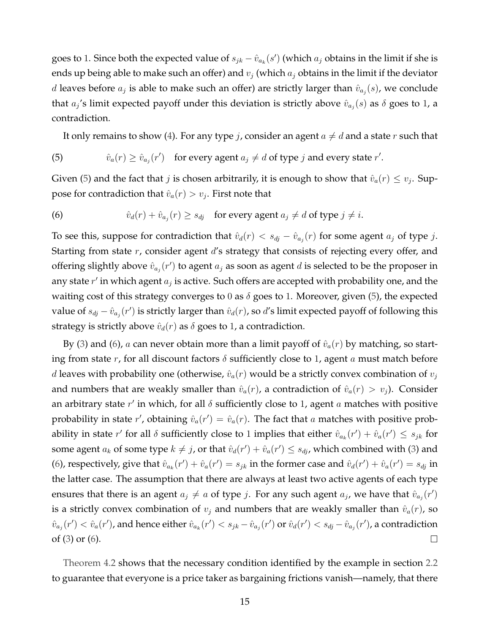goes to 1. Since both the expected value of  $s_{jk} - \hat{v}_{a_k}(s')$  (which  $a_j$  obtains in the limit if she is ends up being able to make such an offer) and  $v_j$  (which  $a_j$  obtains in the limit if the deviator d leaves before  $a_j$  is able to make such an offer) are strictly larger than  $\hat{v}_{a_j}(s)$ , we conclude that  $a_j$ 's limit expected payoff under this deviation is strictly above  $\hat{v}_{a_j}(s)$  as  $\delta$  goes to 1, a contradiction.

It only remains to show [\(4\)](#page-13-1). For any type *j*, consider an agent  $a \neq d$  and a state r such that

<span id="page-14-0"></span>(5) 
$$
\hat{v}_a(r) \ge \hat{v}_{a_j}(r')
$$
 for every agent  $a_j \ne d$  of type *j* and every state *r'*.

Given [\(5\)](#page-14-0) and the fact that  $j$  is chosen arbitrarily, it is enough to show that  $\hat{v}_a(r) \leq v_j$ . Suppose for contradiction that  $\hat{v}_a(r) > v_j.$  First note that

<span id="page-14-1"></span>(6) 
$$
\hat{v}_d(r) + \hat{v}_{a_j}(r) \geq s_{dj} \quad \text{for every agent } a_j \neq d \text{ of type } j \neq i.
$$

To see this, suppose for contradiction that  $\hat{v}_d(r) < s_{dj} - \hat{v}_{a_j}(r)$  for some agent  $a_j$  of type j. Starting from state  $r$ , consider agent  $d$ 's strategy that consists of rejecting every offer, and offering slightly above  $\hat{v}_{a_j}(r')$  to agent  $a_j$  as soon as agent  $d$  is selected to be the proposer in any state  $r'$  in which agent  $a_j$  is active. Such offers are accepted with probability one, and the waiting cost of this strategy converges to 0 as  $\delta$  goes to 1. Moreover, given [\(5\)](#page-14-0), the expected value of  $s_{dj} - \hat{v}_{aj}(r')$  is strictly larger than  $\hat{v}_d(r)$ , so d's limit expected payoff of following this strategy is strictly above  $\hat{v}_d(r)$  as  $\delta$  goes to 1, a contradiction.

By [\(3\)](#page-13-2) and [\(6\)](#page-14-1), a can never obtain more than a limit payoff of  $\hat{v}_a(r)$  by matching, so starting from state r, for all discount factors  $\delta$  sufficiently close to 1, agent a must match before d leaves with probability one (otherwise,  $\hat{v}_a(r)$  would be a strictly convex combination of  $v_i$ and numbers that are weakly smaller than  $\hat{v}_a(r)$ , a contradiction of  $\hat{v}_a(r) > v_j$ ). Consider an arbitrary state  $r'$  in which, for all  $\delta$  sufficiently close to 1, agent  $a$  matches with positive probability in state r', obtaining  $\hat{v}_a(r') = \hat{v}_a(r)$ . The fact that a matches with positive probability in state  $r'$  for all  $\delta$  sufficiently close to 1 implies that either  $\hat{v}_{a_k}(r') + \hat{v}_a(r') \leq s_{jk}$  for some agent  $a_k$  of some type  $k \neq j$ , or that  $\hat{v}_d(r') + \hat{v}_a(r') \leq s_{dj}$ , which combined with [\(3\)](#page-13-2) and [\(6\)](#page-14-1), respectively, give that  $\hat{v}_{a_k}(r') + \hat{v}_a(r') = s_{jk}$  in the former case and  $\hat{v}_a(r') + \hat{v}_a(r') = s_{dj}$  in the latter case. The assumption that there are always at least two active agents of each type ensures that there is an agent  $a_j \neq a$  of type j. For any such agent  $a_j$ , we have that  $\hat{v}_{a_j}(r')$ is a strictly convex combination of  $v_j$  and numbers that are weakly smaller than  $\hat{v}_a(r)$ , so  $\hat{v}_{a_j}(r') < \hat{v}_a(r')$ , and hence either  $\hat{v}_{a_k}(r') < s_{jk} - \hat{v}_{a_j}(r')$  or  $\hat{v}_d(r') < s_{dj} - \hat{v}_{a_j}(r')$ , a contradiction of [\(3\)](#page-13-2) or [\(6\)](#page-14-1).  $\Box$ 

[Theorem 4.2](#page-13-0) shows that the necessary condition identified by the example in section [2.2](#page-5-0) to guarantee that everyone is a price taker as bargaining frictions vanish—namely, that there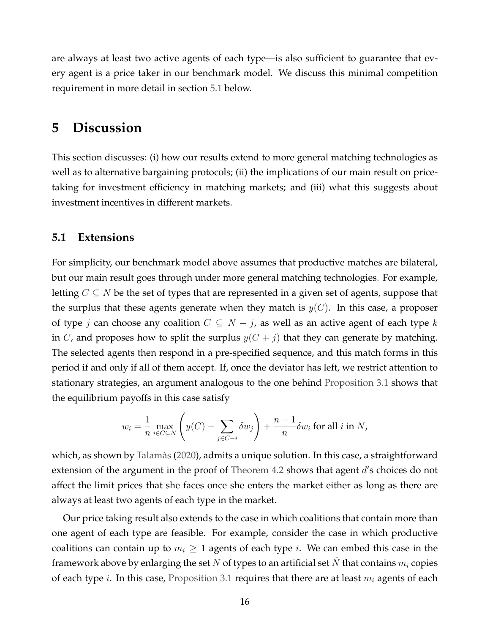are always at least two active agents of each type—is also sufficient to guarantee that every agent is a price taker in our benchmark model. We discuss this minimal competition requirement in more detail in section [5.1](#page-15-1) below.

### <span id="page-15-0"></span>**5 Discussion**

This section discusses: (i) how our results extend to more general matching technologies as well as to alternative bargaining protocols; (ii) the implications of our main result on pricetaking for investment efficiency in matching markets; and (iii) what this suggests about investment incentives in different markets.

#### <span id="page-15-1"></span>**5.1 Extensions**

For simplicity, our benchmark model above assumes that productive matches are bilateral, but our main result goes through under more general matching technologies. For example, letting  $C \subseteq N$  be the set of types that are represented in a given set of agents, suppose that the surplus that these agents generate when they match is  $y(C)$ . In this case, a proposer of type j can choose any coalition  $C \subseteq N - j$ , as well as an active agent of each type k in C, and proposes how to split the surplus  $y(C + j)$  that they can generate by matching. The selected agents then respond in a pre-specified sequence, and this match forms in this period if and only if all of them accept. If, once the deviator has left, we restrict attention to stationary strategies, an argument analogous to the one behind [Proposition 3.1](#page-10-0) shows that the equilibrium payoffs in this case satisfy

$$
w_i = \frac{1}{n} \max_{i \in C \subseteq N} \left( y(C) - \sum_{j \in C - i} \delta w_j \right) + \frac{n - 1}{n} \delta w_i \text{ for all } i \text{ in } N,
$$

which, as shown by [Talamàs](#page-33-3) [\(2020\)](#page-33-3), admits a unique solution. In this case, a straightforward extension of the argument in the proof of [Theorem 4.2](#page-13-0) shows that agent d's choices do not affect the limit prices that she faces once she enters the market either as long as there are always at least two agents of each type in the market.

Our price taking result also extends to the case in which coalitions that contain more than one agent of each type are feasible. For example, consider the case in which productive coalitions can contain up to  $m_i \geq 1$  agents of each type *i*. We can embed this case in the framework above by enlarging the set N of types to an artificial set N that contains  $m_i$  copies of each type *i*. In this case, [Proposition 3.1](#page-10-0) requires that there are at least  $m_i$  agents of each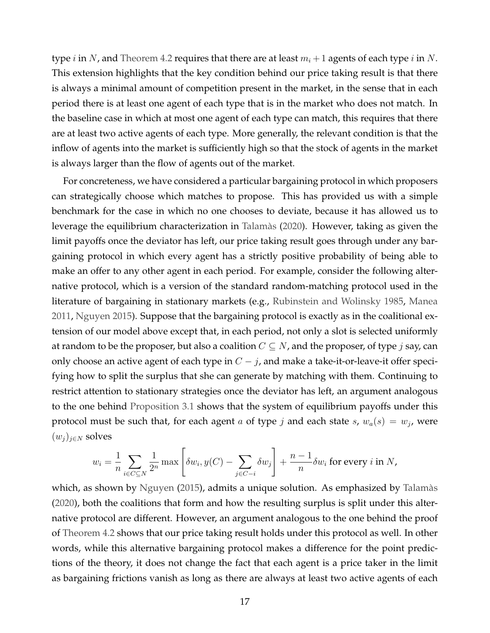type *i* in N, and [Theorem 4.2](#page-13-0) requires that there are at least  $m_i + 1$  agents of each type *i* in N. This extension highlights that the key condition behind our price taking result is that there is always a minimal amount of competition present in the market, in the sense that in each period there is at least one agent of each type that is in the market who does not match. In the baseline case in which at most one agent of each type can match, this requires that there are at least two active agents of each type. More generally, the relevant condition is that the inflow of agents into the market is sufficiently high so that the stock of agents in the market is always larger than the flow of agents out of the market.

For concreteness, we have considered a particular bargaining protocol in which proposers can strategically choose which matches to propose. This has provided us with a simple benchmark for the case in which no one chooses to deviate, because it has allowed us to leverage the equilibrium characterization in [Talamàs](#page-33-3) [\(2020\)](#page-33-3). However, taking as given the limit payoffs once the deviator has left, our price taking result goes through under any bargaining protocol in which every agent has a strictly positive probability of being able to make an offer to any other agent in each period. For example, consider the following alternative protocol, which is a version of the standard random-matching protocol used in the literature of bargaining in stationary markets (e.g., [Rubinstein and Wolinsky](#page-32-5) [1985,](#page-32-5) [Manea](#page-32-12) [2011,](#page-32-12) [Nguyen](#page-32-13) [2015\)](#page-32-13). Suppose that the bargaining protocol is exactly as in the coalitional extension of our model above except that, in each period, not only a slot is selected uniformly at random to be the proposer, but also a coalition  $C \subseteq N$ , and the proposer, of type j say, can only choose an active agent of each type in  $C - j$ , and make a take-it-or-leave-it offer specifying how to split the surplus that she can generate by matching with them. Continuing to restrict attention to stationary strategies once the deviator has left, an argument analogous to the one behind [Proposition 3.1](#page-10-0) shows that the system of equilibrium payoffs under this protocol must be such that, for each agent  $a$  of type  $j$  and each state  $s$ ,  $w_a(s) = w_j$ , were  $(w_j)_{j\in N}$  solves

$$
w_i = \frac{1}{n} \sum_{i \in C \subseteq N} \frac{1}{2^n} \max \left[ \delta w_i, y(C) - \sum_{j \in C - i} \delta w_j \right] + \frac{n - 1}{n} \delta w_i \text{ for every } i \text{ in } N,
$$

which, as shown by [Nguyen](#page-32-13) [\(2015\)](#page-32-13), admits a unique solution. As emphasized by [Talamàs](#page-33-3) [\(2020\)](#page-33-3), both the coalitions that form and how the resulting surplus is split under this alternative protocol are different. However, an argument analogous to the one behind the proof of [Theorem 4.2](#page-13-0) shows that our price taking result holds under this protocol as well. In other words, while this alternative bargaining protocol makes a difference for the point predictions of the theory, it does not change the fact that each agent is a price taker in the limit as bargaining frictions vanish as long as there are always at least two active agents of each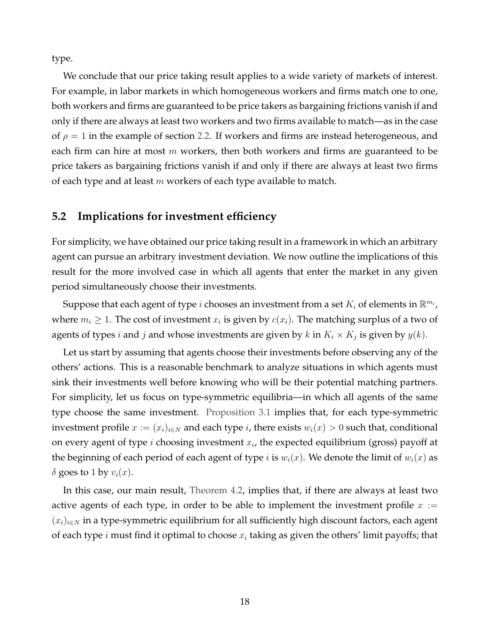type.

We conclude that our price taking result applies to a wide variety of markets of interest. For example, in labor markets in which homogeneous workers and firms match one to one, both workers and firms are guaranteed to be price takers as bargaining frictions vanish if and only if there are always at least two workers and two firms available to match—as in the case of  $\rho = 1$  in the example of section [2.2.](#page-5-0) If workers and firms are instead heterogeneous, and each firm can hire at most  $m$  workers, then both workers and firms are guaranteed to be price takers as bargaining frictions vanish if and only if there are always at least two firms of each type and at least  $m$  workers of each type available to match.

#### **5.2 Implications for investment efficiency**

For simplicity, we have obtained our price taking result in a framework in which an arbitrary agent can pursue an arbitrary investment deviation. We now outline the implications of this result for the more involved case in which all agents that enter the market in any given period simultaneously choose their investments.

Suppose that each agent of type  $i$  chooses an investment from a set  $K_i$  of elements in  $\mathbb{R}^{m_i}$ , where  $m_i \geq 1$ . The cost of investment  $x_i$  is given by  $c(x_i)$ . The matching surplus of a two of agents of types i and j and whose investments are given by k in  $K_i \times K_j$  is given by  $y(k)$ .

Let us start by assuming that agents choose their investments before observing any of the others' actions. This is a reasonable benchmark to analyze situations in which agents must sink their investments well before knowing who will be their potential matching partners. For simplicity, let us focus on type-symmetric equilibria—in which all agents of the same type choose the same investment. [Proposition 3.1](#page-10-0) implies that, for each type-symmetric investment profile  $x := (x_i)_{i \in N}$  and each type *i*, there exists  $w_i(x) > 0$  such that, conditional on every agent of type i choosing investment  $x_i$ , the expected equilibrium (gross) payoff at the beginning of each period of each agent of type i is  $w_i(x)$ . We denote the limit of  $w_i(x)$  as  $\delta$  goes to 1 by  $v_i(x)$ .

In this case, our main result, [Theorem 4.2,](#page-13-0) implies that, if there are always at least two active agents of each type, in order to be able to implement the investment profile  $x :=$  $(x_i)_{i\in\mathbb{N}}$  in a type-symmetric equilibrium for all sufficiently high discount factors, each agent of each type i must find it optimal to choose  $x_i$  taking as given the others' limit payoffs; that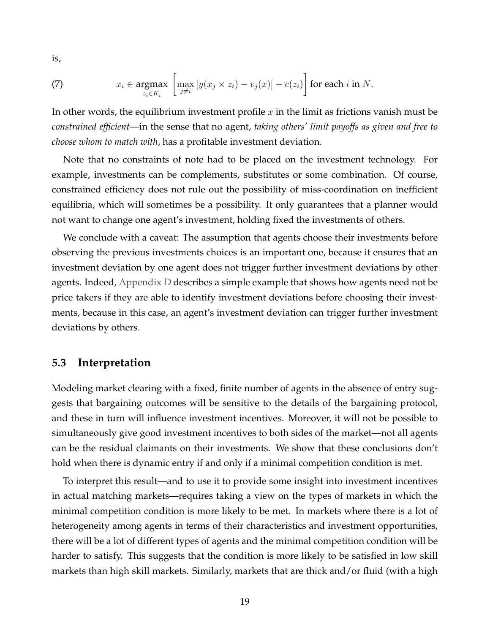is,

(7) 
$$
x_i \in \underset{z_i \in K_i}{\operatorname{argmax}} \left[ \max_{j \neq i} \left[ y(x_j \times z_i) - v_j(x) \right] - c(z_i) \right] \text{ for each } i \text{ in } N.
$$

In other words, the equilibrium investment profile  $x$  in the limit as frictions vanish must be *constrained efficient*—in the sense that no agent, *taking others' limit payoffs as given and free to choose whom to match with*, has a profitable investment deviation.

Note that no constraints of note had to be placed on the investment technology. For example, investments can be complements, substitutes or some combination. Of course, constrained efficiency does not rule out the possibility of miss-coordination on inefficient equilibria, which will sometimes be a possibility. It only guarantees that a planner would not want to change one agent's investment, holding fixed the investments of others.

We conclude with a caveat: The assumption that agents choose their investments before observing the previous investments choices is an important one, because it ensures that an investment deviation by one agent does not trigger further investment deviations by other agents. Indeed, [Appendix D](#page-27-0) describes a simple example that shows how agents need not be price takers if they are able to identify investment deviations before choosing their investments, because in this case, an agent's investment deviation can trigger further investment deviations by others.

#### **5.3 Interpretation**

Modeling market clearing with a fixed, finite number of agents in the absence of entry suggests that bargaining outcomes will be sensitive to the details of the bargaining protocol, and these in turn will influence investment incentives. Moreover, it will not be possible to simultaneously give good investment incentives to both sides of the market—not all agents can be the residual claimants on their investments. We show that these conclusions don't hold when there is dynamic entry if and only if a minimal competition condition is met.

To interpret this result—and to use it to provide some insight into investment incentives in actual matching markets—requires taking a view on the types of markets in which the minimal competition condition is more likely to be met. In markets where there is a lot of heterogeneity among agents in terms of their characteristics and investment opportunities, there will be a lot of different types of agents and the minimal competition condition will be harder to satisfy. This suggests that the condition is more likely to be satisfied in low skill markets than high skill markets. Similarly, markets that are thick and/or fluid (with a high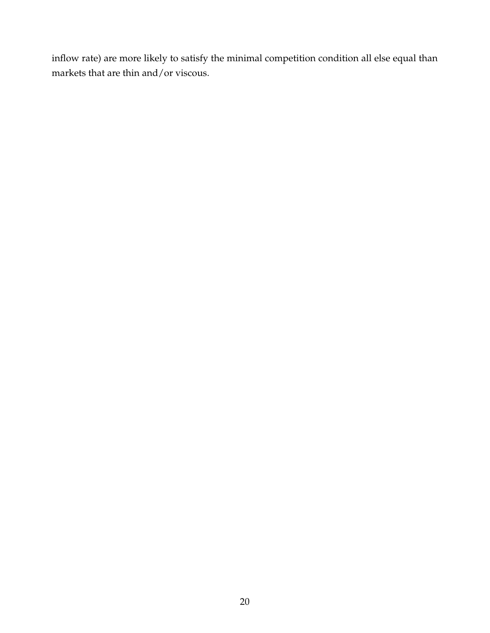inflow rate) are more likely to satisfy the minimal competition condition all else equal than markets that are thin and/or viscous.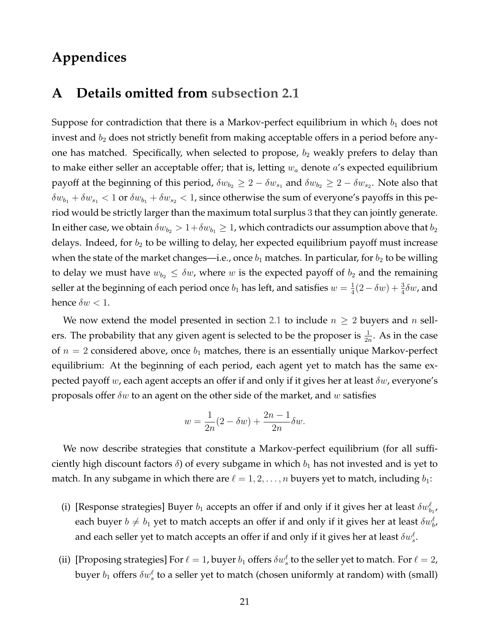### **Appendices**

### <span id="page-20-0"></span>**A Details omitted from [subsection 2.1](#page-4-1)**

Suppose for contradiction that there is a Markov-perfect equilibrium in which  $b_1$  does not invest and  $b_2$  does not strictly benefit from making acceptable offers in a period before anyone has matched. Specifically, when selected to propose,  $b_2$  weakly prefers to delay than to make either seller an acceptable offer; that is, letting  $w_a$  denote  $a$ 's expected equilibrium payoff at the beginning of this period,  $\delta w_{b_2}\geq 2-\delta w_{s_1}$  and  $\delta w_{b_2}\geq 2-\delta w_{s_2}.$  Note also that  $\delta w_{b_1} + \delta w_{s_1} < 1$  or  $\delta w_{b_1} + \delta w_{s_2} < 1$ , since otherwise the sum of everyone's payoffs in this period would be strictly larger than the maximum total surplus 3 that they can jointly generate. In either case, we obtain  $\delta w_{b_2} > 1+\delta w_{b_1} \geq 1$ , which contradicts our assumption above that  $b_2$ delays. Indeed, for  $b_2$  to be willing to delay, her expected equilibrium payoff must increase when the state of the market changes—i.e., once  $b_1$  matches. In particular, for  $b_2$  to be willing to delay we must have  $w_{b_2} \leq \delta w$ , where w is the expected payoff of  $b_2$  and the remaining seller at the beginning of each period once  $b_1$  has left, and satisfies  $w = \frac{1}{4}$  $\frac{1}{4}(2-\delta w)+\frac{3}{4}\delta w$ , and hence  $\delta w < 1$ .

We now extend the model presented in section [2.1](#page-4-1) to include  $n \geq 2$  buyers and n sellers. The probability that any given agent is selected to be the proposer is  $\frac{1}{2n}$ . As in the case of  $n = 2$  considered above, once  $b_1$  matches, there is an essentially unique Markov-perfect equilibrium: At the beginning of each period, each agent yet to match has the same expected payoff w, each agent accepts an offer if and only if it gives her at least  $\delta w$ , everyone's proposals offer  $\delta w$  to an agent on the other side of the market, and w satisfies

$$
w = \frac{1}{2n}(2 - \delta w) + \frac{2n - 1}{2n}\delta w.
$$

We now describe strategies that constitute a Markov-perfect equilibrium (for all sufficiently high discount factors  $\delta$ ) of every subgame in which  $b_1$  has not invested and is yet to match. In any subgame in which there are  $\ell = 1, 2, \ldots, n$  buyers yet to match, including  $b_1$ :

- (i) [Response strategies] Buyer  $b_1$  accepts an offer if and only if it gives her at least  $\delta w_{b_1}^{\ell}$ , each buyer  $b\neq b_1$  yet to match accepts an offer if and only if it gives her at least  $\delta w^{\ell}_{b'}$ , and each seller yet to match accepts an offer if and only if it gives her at least  $\delta w^{\ell}_s.$
- (ii) [Proposing strategies] For  $\ell = 1$ , buyer  $b_1$  offers  $\delta w^{\ell}_s$  to the seller yet to match. For  $\ell = 2$ , buyer  $b_1$  offers  $\delta w^{\ell}_s$  to a seller yet to match (chosen uniformly at random) with (small)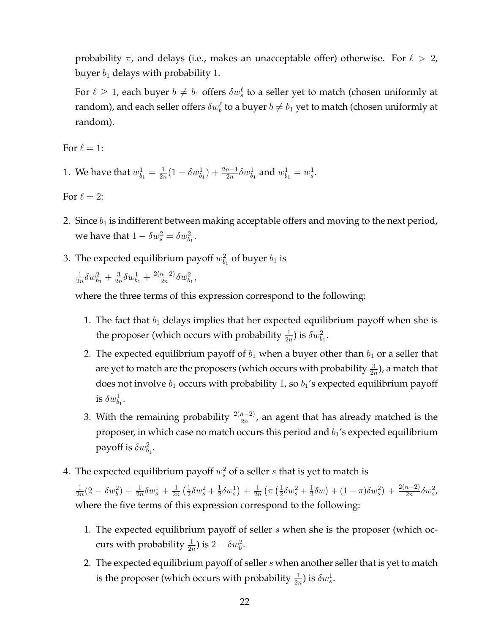probability  $\pi$ , and delays (i.e., makes an unacceptable offer) otherwise. For  $\ell > 2$ , buyer  $b_1$  delays with probability 1.

For  $\ell \geq 1$ , each buyer  $b \neq b_1$  offers  $\delta w^\ell_s$  to a seller yet to match (chosen uniformly at random), and each seller offers  $\delta w_b^\ell$  to a buyer  $b\neq b_1$  yet to match (chosen uniformly at random).

For  $\ell = 1$ :

1. We have that  $w_{b_1}^1 = \frac{1}{2n}$  $\frac{1}{2n}(1 - \delta w_{b_1}^1) + \frac{2n-1}{2n}\delta w_{b_1}^1$  and  $w_{b_1}^1 = w_s^1$ .

For  $\ell = 2$ :

- 2. Since  $b_1$  is indifferent between making acceptable offers and moving to the next period, we have that  $1 - \delta w_s^2 = \delta w_{b_1}^2$ .
- 3. The expected equilibrium payoff  $w_{b_1}^2$  of buyer  $b_1$  is

1  $\frac{1}{2n}\delta w_{b_1}^2 + \frac{3}{2n}$  $\frac{3}{2n}\delta w_{b_1}^1+\frac{2(n-2)}{2n}$  $\frac{n-2)}{2n}\delta w_{b_1}^2,$ 

where the three terms of this expression correspond to the following:

- 1. The fact that  $b_1$  delays implies that her expected equilibrium payoff when she is the proposer (which occurs with probability  $\frac{1}{2n}$ ) is  $\delta w_{b_1}^2$ .
- 2. The expected equilibrium payoff of  $b_1$  when a buyer other than  $b_1$  or a seller that are yet to match are the proposers (which occurs with probability  $\frac{3}{2n}$ ), a match that does not involve  $b_1$  occurs with probability 1, so  $b_1$ 's expected equilibrium payoff is  $\delta w_{b_1}^1$ .
- 3. With the remaining probability  $\frac{2(n-2)}{2n}$ , an agent that has already matched is the proposer, in which case no match occurs this period and  $b_1$ 's expected equilibrium payoff is  $\delta w_{b_1}^2$ .
- 4. The expected equilibrium payoff  $w_s^2$  of a seller  $s$  that is yet to match is

1  $\frac{1}{2n}(2-\delta w_b^2) + \frac{1}{2n}\delta w_s^1 + \frac{1}{2n}$  $\frac{1}{2n}$   $\left(\frac{1}{2}\right)$  $\frac{1}{2}\delta w_{s}^{2}+\frac{1}{2}$  $\frac{1}{2}\delta w_{s}^{1}$  +  $\frac{1}{2n}$  $\frac{1}{2n}$   $\left(\pi \left(\frac{1}{2}\right)$  $\frac{1}{2}\delta w_{s}^{2}+\frac{1}{2}$  $(\frac{1}{2}\delta w) + (1-\pi)\delta w_s^2 + \frac{2(n-2)}{2n}$  $\frac{n-2)}{2n} \delta w_s^2$ where the five terms of this expression correspond to the following:

- 1. The expected equilibrium payoff of seller s when she is the proposer (which occurs with probability  $\frac{1}{2n}$ ) is  $2 - \delta w_b^2$ .
- 2. The expected equilibrium payoff of seller  $s$  when another seller that is yet to match is the proposer (which occurs with probability  $\frac{1}{2n}$ ) is  $\delta w_s^1$ .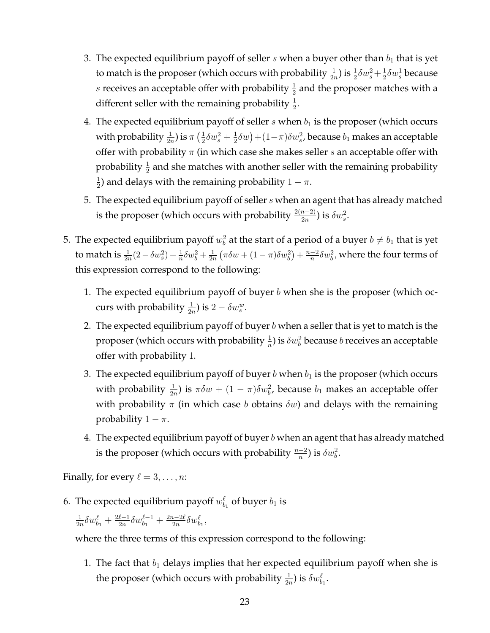- 3. The expected equilibrium payoff of seller  $s$  when a buyer other than  $b_1$  that is yet to match is the proposer (which occurs with probability  $\frac{1}{2n}$ ) is  $\frac{1}{2}\delta w_s^2 + \frac{1}{2}$  $\frac{1}{2}\delta w_s^1$  because s receives an acceptable offer with probability  $\frac{1}{2}$  and the proposer matches with a different seller with the remaining probability  $\frac{1}{2}$ .
- 4. The expected equilibrium payoff of seller  $s$  when  $b_1$  is the proposer (which occurs with probability  $\frac{1}{2n}$ ) is  $\pi\left(\frac{1}{2}\right)$  $\frac{1}{2}\delta w_{s}^{2}+\frac{1}{2}$  $(\frac{1}{2}\delta w)+(1-\pi)\delta w_{s}^{2}$ , because  $b_{1}$  makes an acceptable offer with probability  $\pi$  (in which case she makes seller s an acceptable offer with probability  $\frac{1}{2}$  and she matches with another seller with the remaining probability 1  $\frac{1}{2}$ ) and delays with the remaining probability  $1 - \pi$ .
- 5. The expected equilibrium payoff of seller s when an agent that has already matched is the proposer (which occurs with probability  $\frac{2(n-2)}{2n}$ ) is  $\delta w_s^2$ .
- 5. The expected equilibrium payoff  $w^2_b$  at the start of a period of a buyer  $b\neq b_1$  that is yet to match is  $\frac{1}{2n}(2-\delta w_s^2)+\frac{1}{n}\delta w_b^2+\frac{1}{2n}$  $\frac{1}{2n}(\pi \delta w + (1-\pi)\delta w_b^2) + \frac{n-2}{n}$  $\frac{-2}{n}\delta w_b^2$ , where the four terms of this expression correspond to the following:
	- 1. The expected equilibrium payoff of buyer b when she is the proposer (which occurs with probability  $\frac{1}{2n}$ ) is  $2 - \delta w_s^w$ .
	- 2. The expected equilibrium payoff of buyer  $b$  when a seller that is yet to match is the proposer (which occurs with probability  $\frac{1}{n}$ ) is  $\delta w_{b}^{2}$  because  $b$  receives an acceptable offer with probability 1.
	- 3. The expected equilibrium payoff of buyer b when  $b_1$  is the proposer (which occurs with probability  $\frac{1}{2n}$ ) is  $\pi \delta w + (1 - \pi) \delta w_b^2$ , because  $b_1$  makes an acceptable offer with probability  $\pi$  (in which case b obtains  $\delta w$ ) and delays with the remaining probability  $1 - \pi$ .
	- 4. The expected equilibrium payoff of buyer  $b$  when an agent that has already matched is the proposer (which occurs with probability  $\frac{n-2}{n}$ ) is  $\delta w_b^2$ .

Finally, for every  $\ell = 3, \ldots, n$ :

6. The expected equilibrium payoff  $w^\ell_{b_1}$  of buyer  $b_1$  is

$$
\tfrac{1}{2n}\delta w^\ell_{b_1} + \tfrac{2\ell-1}{2n}\delta w^{\ell-1}_{b_1} + \tfrac{2n-2\ell}{2n}\delta w^\ell_{b_1},
$$

where the three terms of this expression correspond to the following:

1. The fact that  $b_1$  delays implies that her expected equilibrium payoff when she is the proposer (which occurs with probability  $\frac{1}{2n}$ ) is  $\delta w_{b_1}^{\ell}$ .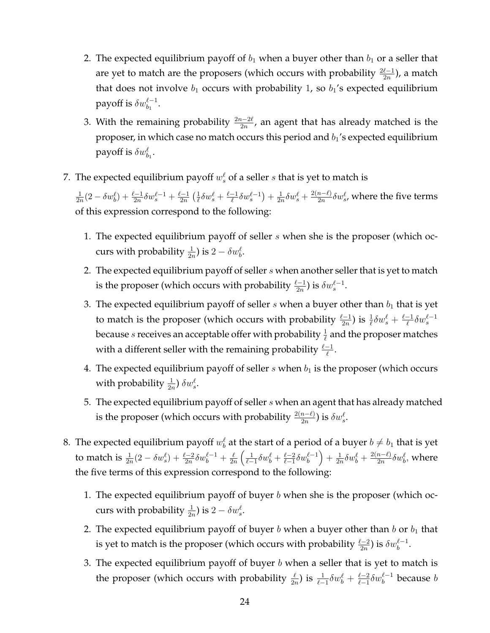- 2. The expected equilibrium payoff of  $b_1$  when a buyer other than  $b_1$  or a seller that are yet to match are the proposers (which occurs with probability  $\frac{2\ell-1}{2n}$ ), a match that does not involve  $b_1$  occurs with probability 1, so  $b_1$ 's expected equilibrium payoff is  $\delta w^{\ell-1}_{b_1}.$
- 3. With the remaining probability  $\frac{2n-2\ell}{2n}$ , an agent that has already matched is the proposer, in which case no match occurs this period and  $b_1$ 's expected equilibrium payoff is  $\delta w^\ell_{b_1}$ .
- 7. The expected equilibrium payoff  $w_s^{\ell}$  of a seller  $s$  that is yet to match is

1  $\frac{1}{2n}(2 - \delta w_b^{\ell}) + \frac{\ell-1}{2n}\delta w_s^{\ell-1} + \frac{\ell-1}{2n}$  $\frac{2-1}{2n}$   $\left(\frac{1}{\ell}\right)$  $\frac{1}{\ell}\delta w_s^{\ell} + \frac{\ell-1}{\ell}$  $\frac{-1}{\ell}\delta w_s^{\ell-1}$  +  $\frac{1}{2n}$  $\frac{1}{2n}\delta w_s^{\ell} + \frac{2(n-\ell)}{2n}$  $\frac{n-\ell)}{2n}\delta w_{s}^{\ell}$ , where the five terms of this expression correspond to the following:

- 1. The expected equilibrium payoff of seller  $s$  when she is the proposer (which occurs with probability  $\frac{1}{2n}$ ) is  $2 - \delta w_b^{\ell}$ .
- 2. The expected equilibrium payoff of seller  $s$  when another seller that is yet to match is the proposer (which occurs with probability  $\frac{\ell-1}{2n}$ ) is  $\delta w_s^{\ell-1}$ .
- 3. The expected equilibrium payoff of seller  $s$  when a buyer other than  $b_1$  that is yet to match is the proposer (which occurs with probability  $\frac{\ell-1}{2n}$ ) is  $\frac{1}{\ell}\delta w_s^{\ell} + \frac{\ell-1}{\ell}$  $\frac{-1}{\ell}\delta w_s^{\ell-1}$ because  $s$  receives an acceptable offer with probability  $\frac{1}{\ell}$  and the proposer matches with a different seller with the remaining probability  $\frac{\ell-1}{\ell}$ .
- 4. The expected equilibrium payoff of seller  $s$  when  $b_1$  is the proposer (which occurs with probability  $\frac{1}{2n}$ )  $\delta w_s^{\ell}$ .
- 5. The expected equilibrium payoff of seller  $s$  when an agent that has already matched is the proposer (which occurs with probability  $\frac{2(n-\ell)}{2n}$ ) is  $\delta w^{\ell}_{s}$ .
- 8. The expected equilibrium payoff  $w^\ell_b$  at the start of a period of a buyer  $b\neq b_1$  that is yet to match is  $\frac{1}{2n}(2 - \delta w_s^{\ell}) + \frac{\ell-2}{2n}\delta w_b^{\ell-1} + \frac{\ell}{2n}$  $\frac{\ell}{2n}\left(\frac{1}{\ell-1}\delta w_b^{\ell}+\frac{\ell-2}{\ell-1}\right)$  $\frac{\ell-2}{\ell-1}\delta w_b^{\ell-1}\Big)+\frac{1}{2n}$  $\frac{1}{2n}\delta w_b^{\ell} + \frac{2(n-\ell)}{2n}$  $\frac{n-\ell)}{2n} \delta w_b^\ell$ , where the five terms of this expression correspond to the following:
	- 1. The expected equilibrium payoff of buyer  $b$  when she is the proposer (which occurs with probability  $\frac{1}{2n}$ ) is  $2 - \delta w_s^{\ell}$ .
	- 2. The expected equilibrium payoff of buyer  $b$  when a buyer other than  $b$  or  $b_1$  that is yet to match is the proposer (which occurs with probability  $\frac{\ell-2}{2n}$ ) is  $\delta w_b^{\ell-1}.$
	- 3. The expected equilibrium payoff of buyer  $b$  when a seller that is yet to match is the proposer (which occurs with probability  $\frac{\ell}{2n}$ ) is  $\frac{1}{\ell-1}\delta w_b^{\ell} + \frac{\ell-2}{\ell-1}$  $\frac{\ell-2}{\ell-1}\delta w^{\ell-1}_b$  because  $b$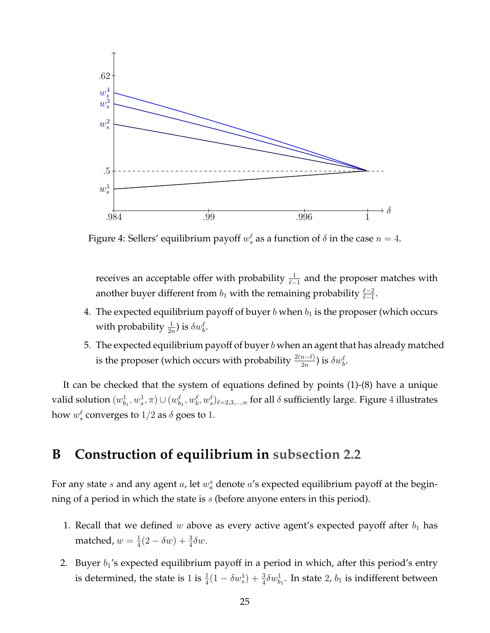<span id="page-24-1"></span>

Figure 4: Sellers' equilibrium payoff  $w_s^{\ell}$  as a function of  $\delta$  in the case  $n=4$ .

receives an acceptable offer with probability  $\frac{1}{\ell-1}$  and the proposer matches with another buyer different from  $b_1$  with the remaining probability  $\frac{\ell-2}{\ell-1}$ .

- 4. The expected equilibrium payoff of buyer b when  $b_1$  is the proposer (which occurs with probability  $\frac{1}{2n}$ ) is  $\delta w_b^{\ell}$ .
- 5. The expected equilibrium payoff of buyer  $b$  when an agent that has already matched is the proposer (which occurs with probability  $\frac{2(n-\ell)}{2n}$ ) is  $\delta w_b^\ell.$

It can be checked that the system of equations defined by points (1)-(8) have a unique valid solution  $(w^1_{b_1},w^1_{s},\pi)\cup (w^\ell_{b_1},w^\ell_{b},w^\ell_{s})_{\ell=2,3,...,n}$  for all  $\delta$  sufficiently large. Figure  $4$  illustrates how  $w_s^{\ell}$  converges to  $1/2$  as  $\delta$  goes to  $1.$ 

### <span id="page-24-0"></span>**B Construction of equilibrium in [subsection 2.2](#page-5-0)**

For any state s and any agent a, let  $w_a^s$  denote a's expected equilibrium payoff at the beginning of a period in which the state is  $s$  (before anyone enters in this period).

- 1. Recall that we defined w above as every active agent's expected payoff after  $b_1$  has matched,  $w=\frac{1}{4}$  $\frac{1}{4}(2 - \delta w) + \frac{3}{4}\delta w.$
- 2. Buyer  $b_1$ 's expected equilibrium payoff in a period in which, after this period's entry is determined, the state is 1 is  $\frac{1}{4}(1-\delta w_s^1)+\frac{3}{4}\delta w_{b_1}^1$ . In state 2,  $b_1$  is indifferent between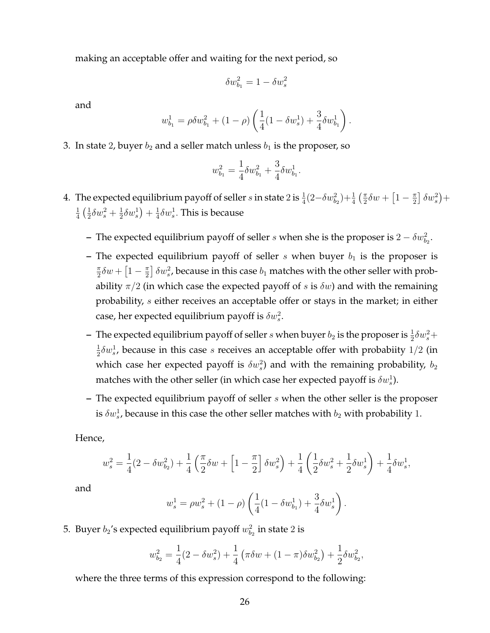making an acceptable offer and waiting for the next period, so

$$
\delta w_{b_1}^2=1-\delta w_s^2
$$

and

$$
w_{b_1}^1 = \rho \delta w_{b_1}^2 + (1 - \rho) \left( \frac{1}{4} (1 - \delta w_s^1) + \frac{3}{4} \delta w_{b_1}^1 \right).
$$

3. In state 2, buyer  $b_2$  and a seller match unless  $b_1$  is the proposer, so

$$
w_{b_1}^2 = \frac{1}{4} \delta w_{b_1}^2 + \frac{3}{4} \delta w_{b_1}^1.
$$

- 4. The expected equilibrium payoff of seller  $s$  in state  $2$  is  $\frac{1}{4}(2-\delta w_{b_2}^2)+\frac{1}{4}$   $(\frac{\pi}{2}$  $\frac{\pi}{2}\delta w + \left[1-\frac{\pi}{2}\right]$  $\frac{\pi}{2}$   $\delta w_s^2$  + 1  $rac{1}{4}$   $\left(\frac{1}{2}\right)$  $\frac{1}{2}\delta w_{s}^{2}+\frac{1}{2}$  $\frac{1}{2}\delta w_{s}^{1}$  +  $\frac{1}{4}$  $\frac{1}{4}\delta w_s^1$ . This is because
	- **–** The expected equilibrium payoff of seller *s* when she is the proposer is  $2 \delta w_{b_2}^2$ .
	- **–** The expected equilibrium payoff of seller  $s$  when buyer  $b_1$  is the proposer is π  $\frac{\pi}{2}\delta w + \left[1-\frac{\pi}{2}\right]$  $\pi\over 2]$   $\delta w_s^2$ , because in this case  $b_1$  matches with the other seller with probability  $\pi/2$  (in which case the expected payoff of s is  $\delta w$ ) and with the remaining probability, s either receives an acceptable offer or stays in the market; in either case, her expected equilibrium payoff is  $\delta w_s^2$ .
	- The expected equilibrium payoff of seller s when buyer  $b_2$  is the proposer is  $\frac{1}{2}\delta w_s^2 +$ 1  $\frac{1}{2}\delta w_s^1$ , because in this case s receives an acceptable offer with probabiity  $1/2$  (in which case her expected payoff is  $\delta w_s^2$ ) and with the remaining probability,  $b_2$ matches with the other seller (in which case her expected payoff is  $\delta w^1_s$ ).
	- **–** The expected equilibrium payoff of seller s when the other seller is the proposer is  $\delta w^1_s$ , because in this case the other seller matches with  $b_2$  with probability 1.

Hence,

$$
w_s^2 = \frac{1}{4}(2-\delta w_{b_2}^2) + \frac{1}{4}\left(\frac{\pi}{2}\delta w + \left[1-\frac{\pi}{2}\right]\delta w_s^2\right) + \frac{1}{4}\left(\frac{1}{2}\delta w_s^2 + \frac{1}{2}\delta w_s^1\right) + \frac{1}{4}\delta w_s^1,
$$

and

$$
w_s^1 = \rho w_s^2 + (1 - \rho) \left( \frac{1}{4} (1 - \delta w_{b_1}^1) + \frac{3}{4} \delta w_s^1 \right).
$$

5. Buyer  $b_2$ 's expected equilibrium payoff  $w_{b_2}^2$  in state 2 is

$$
w_{b_2}^2 = \frac{1}{4}(2 - \delta w_s^2) + \frac{1}{4}(\pi \delta w + (1 - \pi) \delta w_{b_2}^2) + \frac{1}{2}\delta w_{b_2}^2,
$$

where the three terms of this expression correspond to the following: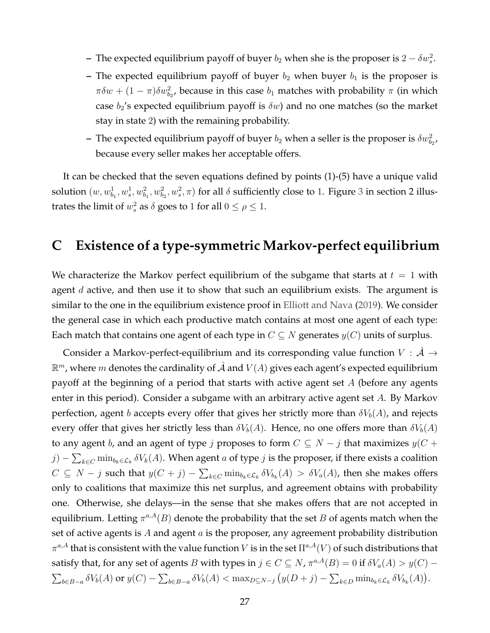- **–** The expected equilibrium payoff of buyer  $b_2$  when she is the proposer is  $2 \delta w_s^2$ .
- **–** The expected equilibrium payoff of buyer  $b_2$  when buyer  $b_1$  is the proposer is  $\pi \delta w + (1 - \pi) \delta w_{b_2}^2$ , because in this case  $b_1$  matches with probability  $\pi$  (in which case  $b_2$ 's expected equilibrium payoff is  $\delta w$ ) and no one matches (so the market stay in state 2) with the remaining probability.
- The expected equilibrium payoff of buyer  $b_2$  when a seller is the proposer is  $\delta w_{b_2}^2$ , because every seller makes her acceptable offers.

It can be checked that the seven equations defined by points (1)-(5) have a unique valid solution  $(w, w_{b_1}^1, w_s^1, w_{b_1}^2, w_{b_2}^2, w_s^2, \pi)$  for all  $\delta$  sufficiently close to 1. Figure [3](#page-7-0) in section 2 illustrates the limit of  $w_s^2$  as  $\delta$  goes to 1 for all  $0 \le \rho \le 1$ .

### <span id="page-26-0"></span>**C Existence of a type-symmetric Markov-perfect equilibrium**

We characterize the Markov perfect equilibrium of the subgame that starts at  $t = 1$  with agent  $d$  active, and then use it to show that such an equilibrium exists. The argument is similar to the one in the equilibrium existence proof in [Elliott and Nava](#page-31-11) [\(2019\)](#page-31-11). We consider the general case in which each productive match contains at most one agent of each type: Each match that contains one agent of each type in  $C \subseteq N$  generates  $y(C)$  units of surplus.

Consider a Markov-perfect-equilibrium and its corresponding value function  $V : \mathcal{A} \rightarrow \mathcal{A}$  $\mathbb{R}^m$ , where  $m$  denotes the cardinality of  $\hat{\mathcal{A}}$  and  $V(A)$  gives each agent's expected equilibrium payoff at the beginning of a period that starts with active agent set  $A$  (before any agents enter in this period). Consider a subgame with an arbitrary active agent set A. By Markov perfection, agent b accepts every offer that gives her strictly more than  $\delta V_b(A)$ , and rejects every offer that gives her strictly less than  $\delta V_b(A)$ . Hence, no one offers more than  $\delta V_b(A)$ to any agent b, and an agent of type j proposes to form  $C \subseteq N - j$  that maximizes  $y(C + j)$  $j) - \sum_{k \in C} \min_{b_k \in \mathcal{L}_k} \delta V_k(A)$ . When agent  $a$  of type  $j$  is the proposer, if there exists a coalition  $C ⊆ N - j$  such that  $y(C + j) - \sum_{k \in C} \min_{b_k \in \mathcal{L}_k} \delta V_{b_k}(A) > \delta V_a(A)$ , then she makes offers only to coalitions that maximize this net surplus, and agreement obtains with probability one. Otherwise, she delays—in the sense that she makes offers that are not accepted in equilibrium. Letting  $\pi^{a,A}(B)$  denote the probability that the set  $B$  of agents match when the set of active agents is A and agent  $a$  is the proposer, any agreement probability distribution  $\pi^{a,A}$  that is consistent with the value function  $V$  is in the set  $\Pi^{a,A}(V)$  of such distributions that satisfy that, for any set of agents B with types in  $j \in C \subseteq N$ ,  $\pi^{a,A}(B) = 0$  if  $\delta V_a(A) > y(C) - z$  $\sum_{b\in B-a} \delta V_b(A)$  or  $y(C) - \sum_{b\in B-a} \delta V_b(A) < \max_{D\subseteq N-j} (y(D+j) - \sum_{k\in D} \min_{b_k \in \mathcal{L}_k} \delta V_{b_k}(A)).$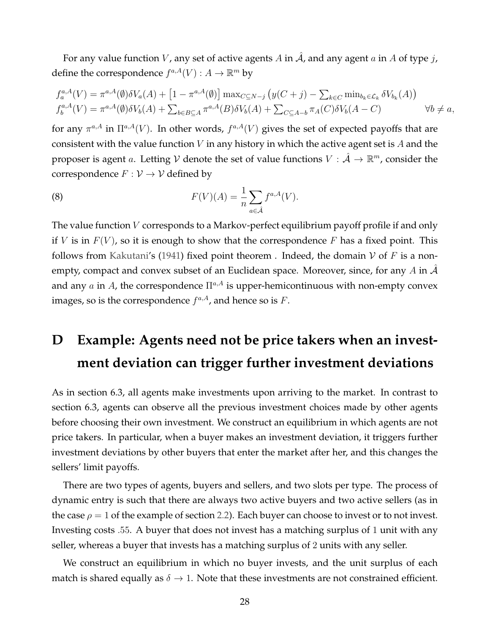For any value function V, any set of active agents A in  $\hat{A}$ , and any agent a in A of type j, define the correspondence  $f^{a,A}(V) : A \to \mathbb{R}^m$  by

$$
f_a^{a,A}(V) = \pi^{a,A}(\emptyset) \delta V_a(A) + [1 - \pi^{a,A}(\emptyset)] \max_{C \subseteq N-j} (y(C + j) - \sum_{k \in C} \min_{b_k \in \mathcal{L}_k} \delta V_{b_k}(A))
$$
  

$$
f_b^{a,A}(V) = \pi^{a,A}(\emptyset) \delta V_b(A) + \sum_{b \in B \subseteq A} \pi^{a,A}(B) \delta V_b(A) + \sum_{C \subseteq A-b} \pi_A(C) \delta V_b(A - C) \qquad \forall b \neq a,
$$

for any  $\pi^{a,A}$  in  $\Pi^{a,A}(V)$ . In other words,  $f^{a,A}(V)$  gives the set of expected payoffs that are consistent with the value function  $V$  in any history in which the active agent set is  $A$  and the proposer is agent a. Letting V denote the set of value functions  $V : \hat{\mathcal{A}} \to \mathbb{R}^m$ , consider the correspondence  $F: V \to V$  defined by

(8) 
$$
F(V)(A) = \frac{1}{n} \sum_{a \in \hat{\mathcal{A}}} f^{a,A}(V).
$$

The value function V corresponds to a Markov-perfect equilibrium payoff profile if and only if V is in  $F(V)$ , so it is enough to show that the correspondence F has a fixed point. This follows from [Kakutani'](#page-32-14)s [\(1941\)](#page-32-14) fixed point theorem . Indeed, the domain V of F is a nonempty, compact and convex subset of an Euclidean space. Moreover, since, for any A in  $\mathcal A$ and any  $a$  in  $A$  , the correspondence  $\Pi^{a,A}$  is upper-hemicontinuous with non-empty convex images, so is the correspondence  $f^{a,A}$ , and hence so is F.

## <span id="page-27-0"></span>**D Example: Agents need not be price takers when an investment deviation can trigger further investment deviations**

As in section 6.3, all agents make investments upon arriving to the market. In contrast to section 6.3, agents can observe all the previous investment choices made by other agents before choosing their own investment. We construct an equilibrium in which agents are not price takers. In particular, when a buyer makes an investment deviation, it triggers further investment deviations by other buyers that enter the market after her, and this changes the sellers' limit payoffs.

There are two types of agents, buyers and sellers, and two slots per type. The process of dynamic entry is such that there are always two active buyers and two active sellers (as in the case  $\rho = 1$  of the example of section [2.2\)](#page-5-0). Each buyer can choose to invest or to not invest. Investing costs .55. A buyer that does not invest has a matching surplus of 1 unit with any seller, whereas a buyer that invests has a matching surplus of 2 units with any seller.

We construct an equilibrium in which no buyer invests, and the unit surplus of each match is shared equally as  $\delta \to 1$ . Note that these investments are not constrained efficient.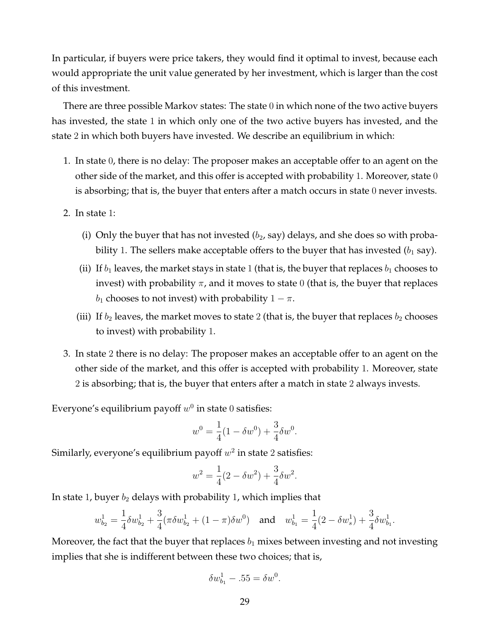In particular, if buyers were price takers, they would find it optimal to invest, because each would appropriate the unit value generated by her investment, which is larger than the cost of this investment.

There are three possible Markov states: The state 0 in which none of the two active buyers has invested, the state 1 in which only one of the two active buyers has invested, and the state 2 in which both buyers have invested. We describe an equilibrium in which:

- 1. In state 0, there is no delay: The proposer makes an acceptable offer to an agent on the other side of the market, and this offer is accepted with probability 1. Moreover, state 0 is absorbing; that is, the buyer that enters after a match occurs in state 0 never invests.
- 2. In state 1:
	- (i) Only the buyer that has not invested  $(b_2, say)$  delays, and she does so with probability 1. The sellers make acceptable offers to the buyer that has invested  $(b_1 \text{ say})$ .
	- (ii) If  $b_1$  leaves, the market stays in state 1 (that is, the buyer that replaces  $b_1$  chooses to invest) with probability  $\pi$ , and it moves to state 0 (that is, the buyer that replaces  $b_1$  chooses to not invest) with probability  $1 - \pi$ .
	- (iii) If  $b_2$  leaves, the market moves to state 2 (that is, the buyer that replaces  $b_2$  chooses to invest) with probability 1.
- 3. In state 2 there is no delay: The proposer makes an acceptable offer to an agent on the other side of the market, and this offer is accepted with probability 1. Moreover, state 2 is absorbing; that is, the buyer that enters after a match in state 2 always invests.

Everyone's equilibrium payoff  $w^0$  in state  $0$  satisfies:

$$
w^{0} = \frac{1}{4}(1 - \delta w^{0}) + \frac{3}{4}\delta w^{0}.
$$

Similarly, everyone's equilibrium payoff  $w^2$  in state 2 satisfies:

$$
w^{2} = \frac{1}{4}(2 - \delta w^{2}) + \frac{3}{4}\delta w^{2}.
$$

In state 1, buyer  $b_2$  delays with probability 1, which implies that

$$
w_{b_2}^1 = \frac{1}{4}\delta w_{b_2}^1 + \frac{3}{4}(\pi \delta w_{b_2}^1 + (1 - \pi)\delta w^0) \quad \text{and} \quad w_{b_1}^1 = \frac{1}{4}(2 - \delta w_s^1) + \frac{3}{4}\delta w_{b_1}^1.
$$

Moreover, the fact that the buyer that replaces  $b_1$  mixes between investing and not investing implies that she is indifferent between these two choices; that is,

$$
\delta w_{b_1}^1 - .55 = \delta w^0.
$$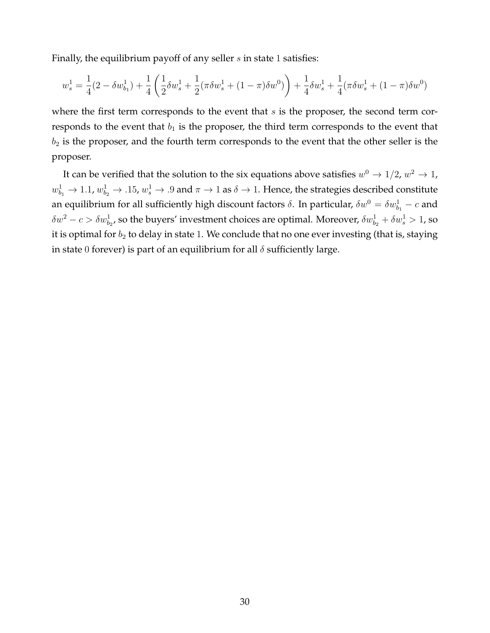Finally, the equilibrium payoff of any seller  $s$  in state 1 satisfies:

$$
w_s^1 = \frac{1}{4}(2 - \delta w_{b_1}^1) + \frac{1}{4}\left(\frac{1}{2}\delta w_s^1 + \frac{1}{2}(\pi \delta w_s^1 + (1 - \pi)\delta w^0)\right) + \frac{1}{4}\delta w_s^1 + \frac{1}{4}(\pi \delta w_s^1 + (1 - \pi)\delta w^0)
$$

where the first term corresponds to the event that  $s$  is the proposer, the second term corresponds to the event that  $b_1$  is the proposer, the third term corresponds to the event that  $b_2$  is the proposer, and the fourth term corresponds to the event that the other seller is the proposer.

It can be verified that the solution to the six equations above satisfies  $w^0\rightarrow 1/2$ ,  $w^2\rightarrow 1$ ,  $w^1_{b_1}\to 1.1$ ,  $w^1_{b_2}\to$  .15,  $w^1_s\to$  .9 and  $\pi\to 1$  as  $\delta\to 1$ . Hence, the strategies described constitute an equilibrium for all sufficiently high discount factors  $\delta$ . In particular,  $\delta w^0 = \delta w^1_{b_1} - c$  and  $\delta w^2-c>\delta w^1_{b_2}$ , so the buyers' investment choices are optimal. Moreover,  $\delta w^1_{b_2}+\delta w^1_s>1$ , so it is optimal for  $b_2$  to delay in state 1. We conclude that no one ever investing (that is, staying in state 0 forever) is part of an equilibrium for all  $\delta$  sufficiently large.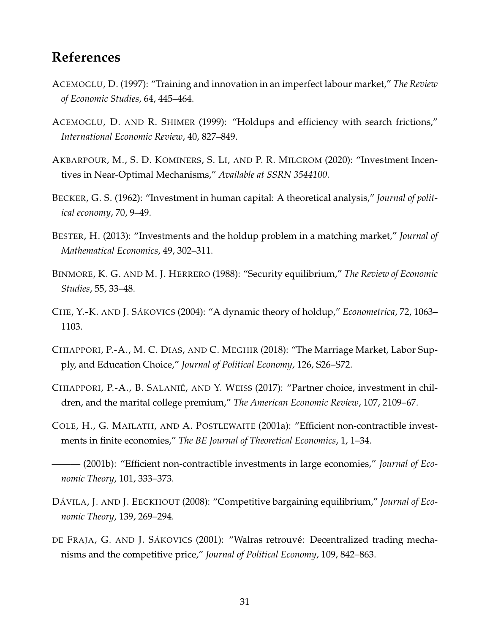### **References**

- <span id="page-30-1"></span>ACEMOGLU, D. (1997): "Training and innovation in an imperfect labour market," *The Review of Economic Studies*, 64, 445–464.
- <span id="page-30-2"></span>ACEMOGLU, D. AND R. SHIMER (1999): "Holdups and efficiency with search frictions," *International Economic Review*, 40, 827–849.
- <span id="page-30-4"></span>AKBARPOUR, M., S. D. KOMINERS, S. LI, AND P. R. MILGROM (2020): "Investment Incentives in Near-Optimal Mechanisms," *Available at SSRN 3544100*.
- <span id="page-30-0"></span>BECKER, G. S. (1962): "Investment in human capital: A theoretical analysis," *Journal of political economy*, 70, 9–49.
- <span id="page-30-11"></span>BESTER, H. (2013): "Investments and the holdup problem in a matching market," *Journal of Mathematical Economics*, 49, 302–311.
- <span id="page-30-8"></span>BINMORE, K. G. AND M. J. HERRERO (1988): "Security equilibrium," *The Review of Economic Studies*, 55, 33–48.
- <span id="page-30-12"></span>CHE, Y.-K. AND J. SÁKOVICS (2004): "A dynamic theory of holdup," *Econometrica*, 72, 1063– 1103.
- <span id="page-30-7"></span>CHIAPPORI, P.-A., M. C. DIAS, AND C. MEGHIR (2018): "The Marriage Market, Labor Supply, and Education Choice," *Journal of Political Economy*, 126, S26–S72.
- <span id="page-30-6"></span>CHIAPPORI, P.-A., B. SALANIÉ, AND Y. WEISS (2017): "Partner choice, investment in children, and the marital college premium," *The American Economic Review*, 107, 2109–67.
- <span id="page-30-3"></span>COLE, H., G. MAILATH, AND A. POSTLEWAITE (2001a): "Efficient non-contractible investments in finite economies," *The BE Journal of Theoretical Economics*, 1, 1–34.
- <span id="page-30-5"></span>——— (2001b): "Efficient non-contractible investments in large economies," *Journal of Economic Theory*, 101, 333–373.
- <span id="page-30-10"></span>DÁVILA, J. AND J. EECKHOUT (2008): "Competitive bargaining equilibrium," *Journal of Economic Theory*, 139, 269–294.
- <span id="page-30-9"></span>DE FRAJA, G. AND J. SÁKOVICS (2001): "Walras retrouvé: Decentralized trading mechanisms and the competitive price," *Journal of Political Economy*, 109, 842–863.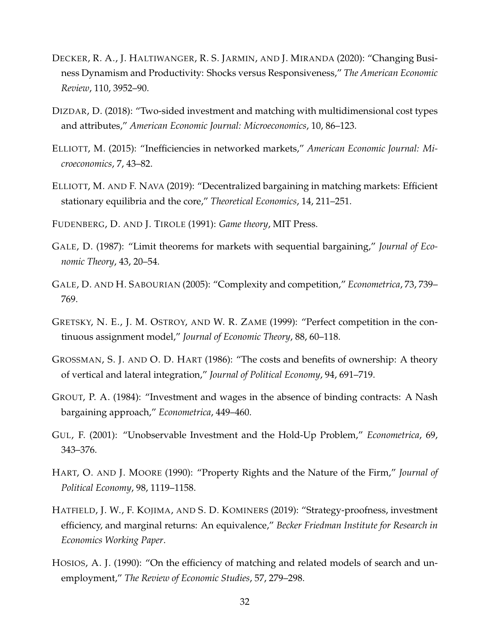- <span id="page-31-7"></span>DECKER, R. A., J. HALTIWANGER, R. S. JARMIN, AND J. MIRANDA (2020): "Changing Business Dynamism and Productivity: Shocks versus Responsiveness," *The American Economic Review*, 110, 3952–90.
- <span id="page-31-8"></span>DIZDAR, D. (2018): "Two-sided investment and matching with multidimensional cost types and attributes," *American Economic Journal: Microeconomics*, 10, 86–123.
- <span id="page-31-4"></span>ELLIOTT, M. (2015): "Inefficiencies in networked markets," *American Economic Journal: Microeconomics*, 7, 43–82.
- <span id="page-31-11"></span>ELLIOTT, M. AND F. NAVA (2019): "Decentralized bargaining in matching markets: Efficient stationary equilibria and the core," *Theoretical Economics*, 14, 211–251.
- <span id="page-31-13"></span>FUDENBERG, D. AND J. TIROLE (1991): *Game theory*, MIT Press.
- <span id="page-31-9"></span>GALE, D. (1987): "Limit theorems for markets with sequential bargaining," *Journal of Economic Theory*, 43, 20–54.
- <span id="page-31-10"></span>GALE, D. AND H. SABOURIAN (2005): "Complexity and competition," *Econometrica*, 73, 739– 769.
- <span id="page-31-3"></span>GRETSKY, N. E., J. M. OSTROY, AND W. R. ZAME (1999): "Perfect competition in the continuous assignment model," *Journal of Economic Theory*, 88, 60–118.
- <span id="page-31-1"></span>GROSSMAN, S. J. AND O. D. HART (1986): "The costs and benefits of ownership: A theory of vertical and lateral integration," *Journal of Political Economy*, 94, 691–719.
- <span id="page-31-0"></span>GROUT, P. A. (1984): "Investment and wages in the absence of binding contracts: A Nash bargaining approach," *Econometrica*, 449–460.
- <span id="page-31-12"></span>GUL, F. (2001): "Unobservable Investment and the Hold-Up Problem," *Econometrica*, 69, 343–376.
- <span id="page-31-5"></span>HART, O. AND J. MOORE (1990): "Property Rights and the Nature of the Firm," *Journal of Political Economy*, 98, 1119–1158.
- <span id="page-31-2"></span>HATFIELD, J. W., F. KOJIMA, AND S. D. KOMINERS (2019): "Strategy-proofness, investment efficiency, and marginal returns: An equivalence," *Becker Friedman Institute for Research in Economics Working Paper*.
- <span id="page-31-6"></span>HOSIOS, A. J. (1990): "On the efficiency of matching and related models of search and unemployment," *The Review of Economic Studies*, 57, 279–298.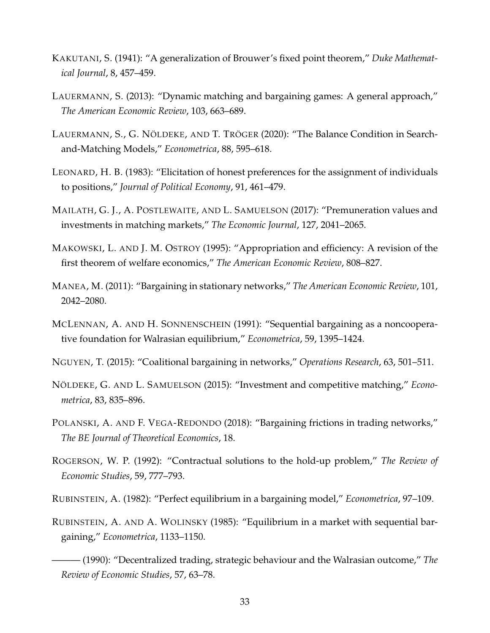- <span id="page-32-14"></span>KAKUTANI, S. (1941): "A generalization of Brouwer's fixed point theorem," *Duke Mathematical Journal*, 8, 457–459.
- <span id="page-32-8"></span>LAUERMANN, S. (2013): "Dynamic matching and bargaining games: A general approach," *The American Economic Review*, 103, 663–689.
- <span id="page-32-11"></span>LAUERMANN, S., G. NÖLDEKE, AND T. TRÖGER (2020): "The Balance Condition in Searchand-Matching Models," *Econometrica*, 88, 595–618.
- <span id="page-32-3"></span>LEONARD, H. B. (1983): "Elicitation of honest preferences for the assignment of individuals to positions," *Journal of Political Economy*, 91, 461–479.
- <span id="page-32-4"></span>MAILATH, G. J., A. POSTLEWAITE, AND L. SAMUELSON (2017): "Premuneration values and investments in matching markets," *The Economic Journal*, 127, 2041–2065.
- <span id="page-32-1"></span>MAKOWSKI, L. AND J. M. OSTROY (1995): "Appropriation and efficiency: A revision of the first theorem of welfare economics," *The American Economic Review*, 808–827.
- <span id="page-32-12"></span>MANEA, M. (2011): "Bargaining in stationary networks," *The American Economic Review*, 101, 2042–2080.
- <span id="page-32-7"></span>MCLENNAN, A. AND H. SONNENSCHEIN (1991): "Sequential bargaining as a noncooperative foundation for Walrasian equilibrium," *Econometrica*, 59, 1395–1424.
- <span id="page-32-13"></span>NGUYEN, T. (2015): "Coalitional bargaining in networks," *Operations Research*, 63, 501–511.
- <span id="page-32-2"></span>NÖLDEKE, G. AND L. SAMUELSON (2015): "Investment and competitive matching," *Econometrica*, 83, 835–896.
- <span id="page-32-9"></span>POLANSKI, A. AND F. VEGA-REDONDO (2018): "Bargaining frictions in trading networks," *The BE Journal of Theoretical Economics*, 18.
- <span id="page-32-0"></span>ROGERSON, W. P. (1992): "Contractual solutions to the hold-up problem," *The Review of Economic Studies*, 59, 777–793.
- <span id="page-32-10"></span>RUBINSTEIN, A. (1982): "Perfect equilibrium in a bargaining model," *Econometrica*, 97–109.
- <span id="page-32-6"></span><span id="page-32-5"></span>RUBINSTEIN, A. AND A. WOLINSKY (1985): "Equilibrium in a market with sequential bargaining," *Econometrica*, 1133–1150.
	- ——— (1990): "Decentralized trading, strategic behaviour and the Walrasian outcome," *The Review of Economic Studies*, 57, 63–78.